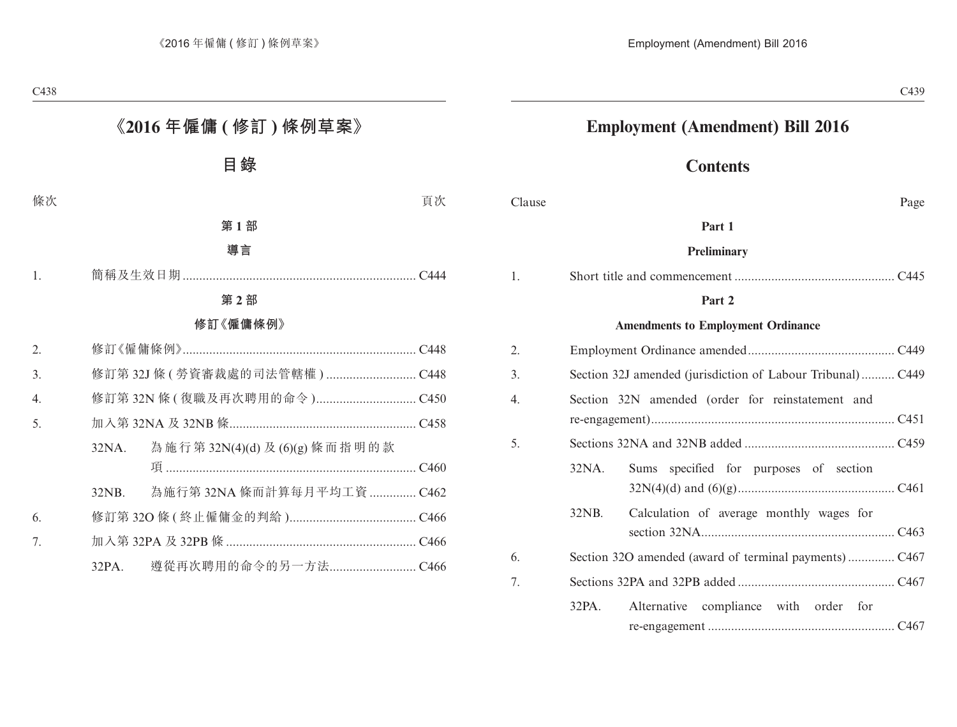# **Employment (Amendment) Bill 2016**

# **Contents**

| Clause | Page |
|--------|------|
|        |      |

#### **Part 1**

#### **Preliminary**

|--|--|

#### **Part 2**

#### **Amendments to Employment Ordinance**

| 2. |       |                                                            |  |
|----|-------|------------------------------------------------------------|--|
| 3. |       | Section 32J amended (jurisdiction of Labour Tribunal) C449 |  |
| 4. |       | Section 32N amended (order for reinstatement and           |  |
| 5. |       |                                                            |  |
|    | 32NA. | Sums specified for purposes of section                     |  |
|    | 32NB. | Calculation of average monthly wages for                   |  |
| 6. |       |                                                            |  |
| 7. |       |                                                            |  |
|    |       | 32PA. Alternative compliance with order for                |  |
|    |       |                                                            |  |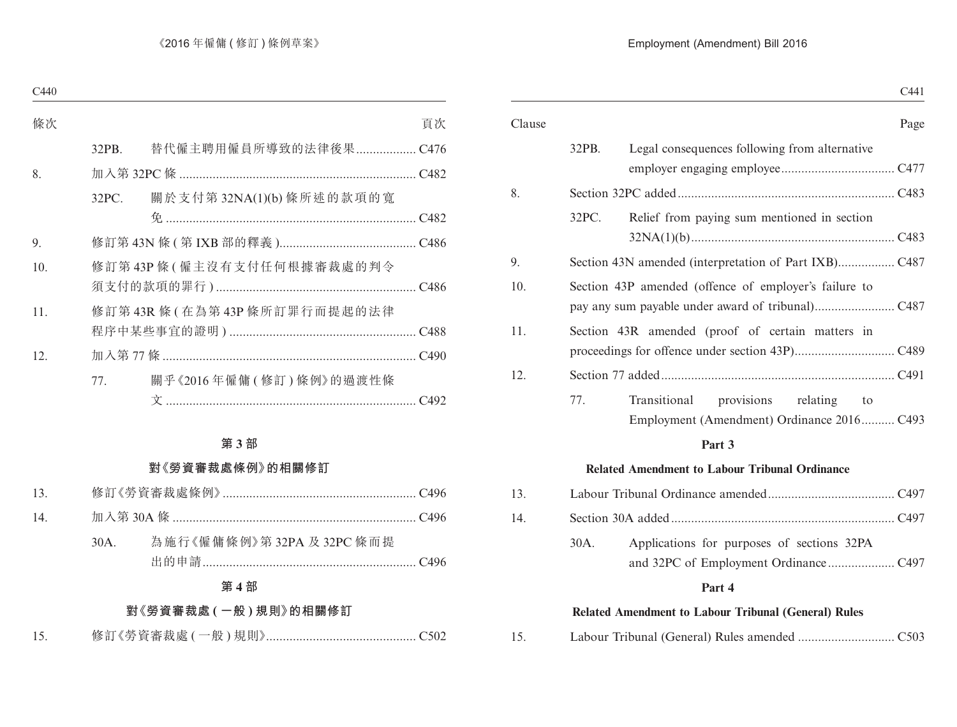|              | C441                                                                                                                                                                                                                                                                                           |
|--------------|------------------------------------------------------------------------------------------------------------------------------------------------------------------------------------------------------------------------------------------------------------------------------------------------|
|              | Page                                                                                                                                                                                                                                                                                           |
|              |                                                                                                                                                                                                                                                                                                |
|              |                                                                                                                                                                                                                                                                                                |
|              |                                                                                                                                                                                                                                                                                                |
|              |                                                                                                                                                                                                                                                                                                |
|              |                                                                                                                                                                                                                                                                                                |
|              |                                                                                                                                                                                                                                                                                                |
|              |                                                                                                                                                                                                                                                                                                |
|              |                                                                                                                                                                                                                                                                                                |
|              |                                                                                                                                                                                                                                                                                                |
|              |                                                                                                                                                                                                                                                                                                |
|              |                                                                                                                                                                                                                                                                                                |
| Transitional | relating<br>to                                                                                                                                                                                                                                                                                 |
|              |                                                                                                                                                                                                                                                                                                |
|              | 32PB.<br>Legal consequences following from alternative<br>32PC.<br>Relief from paying sum mentioned in section<br>Section 43P amended (offence of employer's failure to<br>Section 43R amended (proof of certain matters in<br>77.<br>provisions<br>Employment (Amendment) Ordinance 2016 C493 |

#### **Related Amendment to Labour Tribunal Ordinance**

| 13 <sup>1</sup> |      |                                            |  |
|-----------------|------|--------------------------------------------|--|
| 14 <sub>1</sub> |      |                                            |  |
|                 | 30A. | Applications for purposes of sections 32PA |  |

#### **Part 4**

#### **Related Amendment to Labour Tribunal (General) Rules**

15. Labour Tribunal (General) Rules amended ............................. C503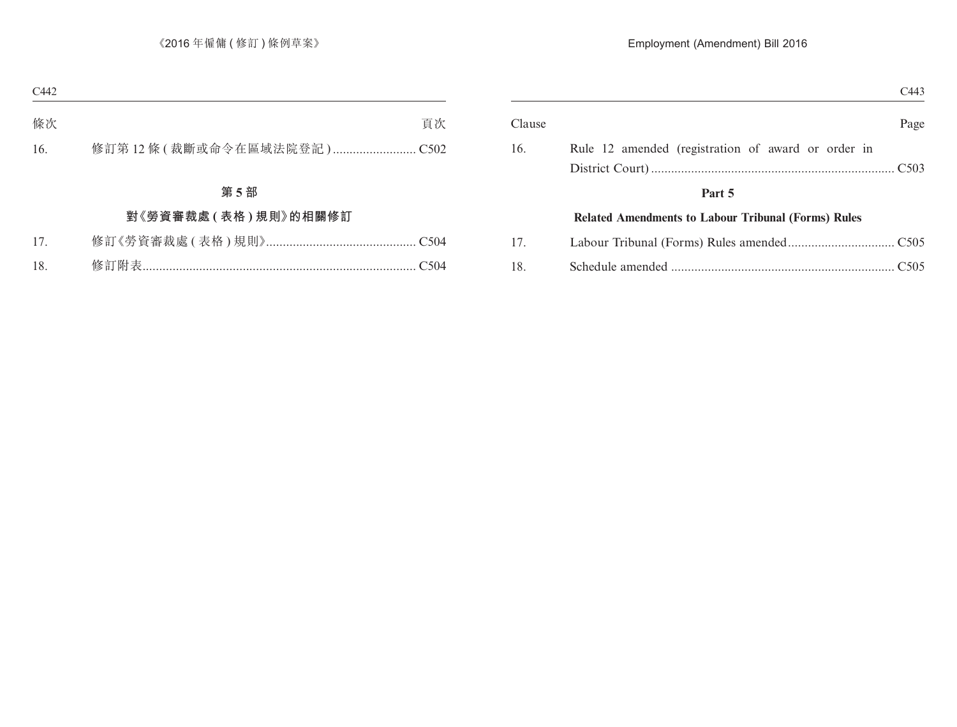| C443 |                                                            |        |
|------|------------------------------------------------------------|--------|
| Page |                                                            | Clause |
|      | Rule 12 amended (registration of award or order in         | 16.    |
|      |                                                            |        |
|      | Part 5                                                     |        |
|      | <b>Related Amendments to Labour Tribunal (Forms) Rules</b> |        |
|      |                                                            | 17.    |
|      |                                                            | 18.    |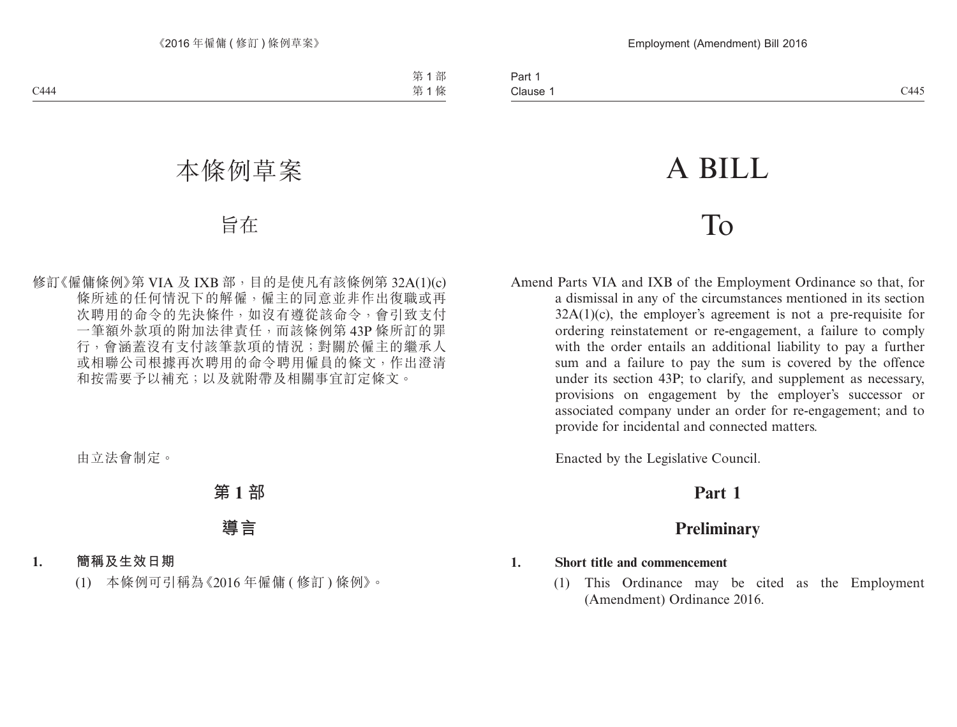# A BILL

# To

Amend Parts VIA and IXB of the Employment Ordinance so that, for a dismissal in any of the circumstances mentioned in its section  $32A(1)(c)$ , the employer's agreement is not a pre-requisite for ordering reinstatement or re-engagement, a failure to comply with the order entails an additional liability to pay a further sum and a failure to pay the sum is covered by the offence under its section 43P; to clarify, and supplement as necessary, provisions on engagement by the employer's successor or associated company under an order for re-engagement; and to provide for incidental and connected matters.

Enacted by the Legislative Council.

# **Part 1**

# **Preliminary**

## **1. Short title and commencement**

(1) This Ordinance may be cited as the Employment (Amendment) Ordinance 2016.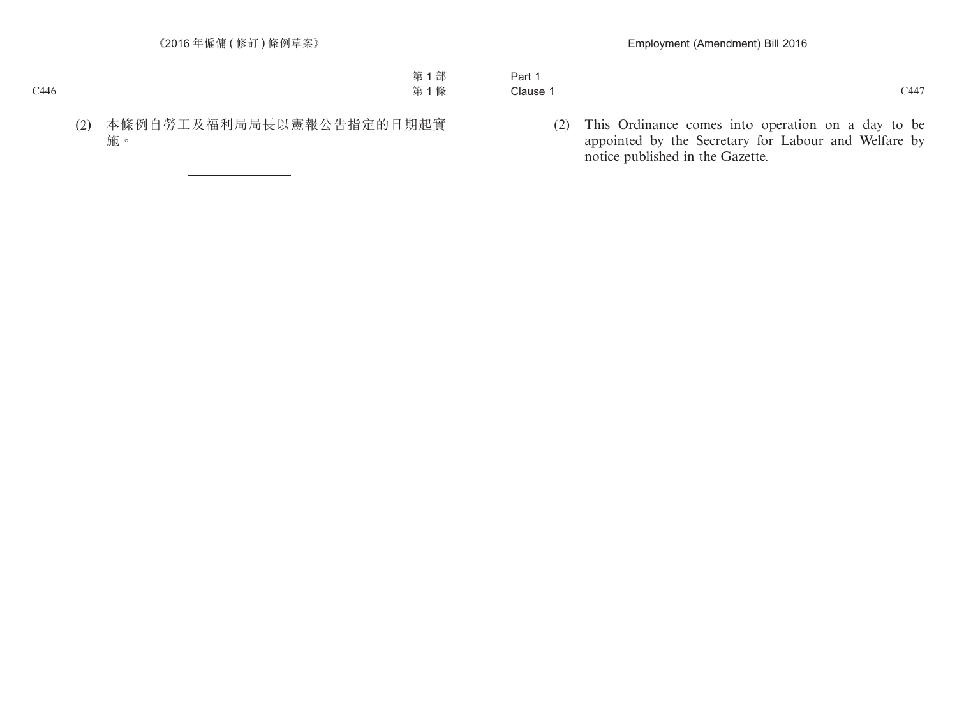| Part,    |      |
|----------|------|
| Clause 1 | C447 |

(2) This Ordinance comes into operation on a day to be appointed by the Secretary for Labour and Welfare by notice published in the Gazette.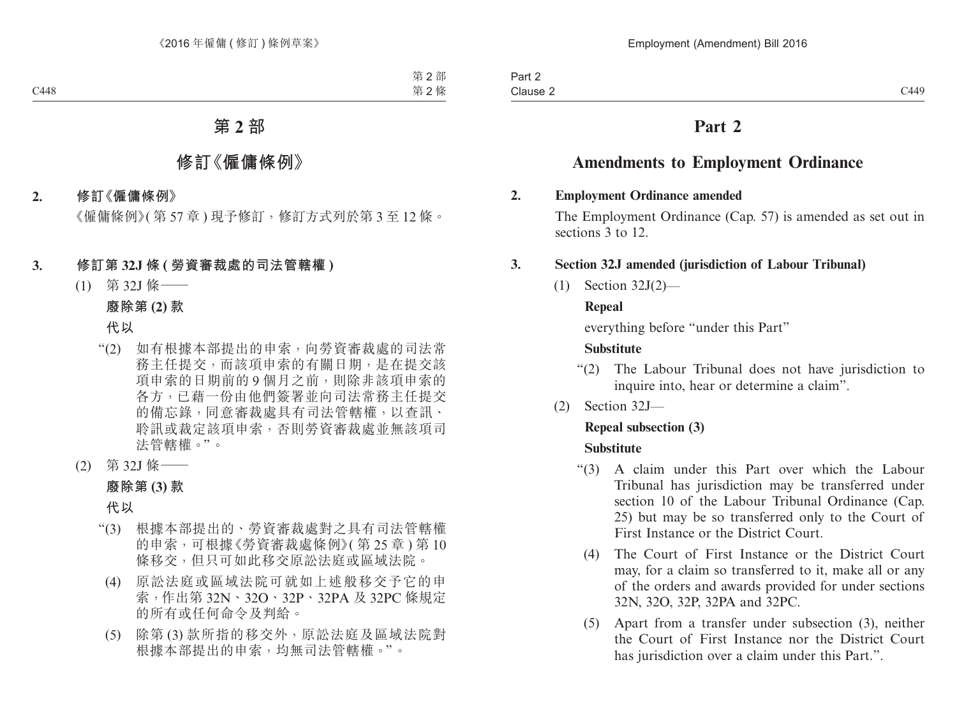# **Amendments to Employment Ordinance**

#### **2. Employment Ordinance amended**

The Employment Ordinance (Cap. 57) is amended as set out in sections 3 to 12.

## **3. Section 32J amended (jurisdiction of Labour Tribunal)**

(1) Section 32J(2)—

## **Repeal**

everything before "under this Part"

# **Substitute**

- "(2) The Labour Tribunal does not have jurisdiction to inquire into, hear or determine a claim".
- (2) Section 32J—

## **Repeal subsection (3)**

## **Substitute**

- "(3) A claim under this Part over which the Labour Tribunal has jurisdiction may be transferred under section 10 of the Labour Tribunal Ordinance (Cap. 25) but may be so transferred only to the Court of First Instance or the District Court.
	- (4) The Court of First Instance or the District Court may, for a claim so transferred to it, make all or any of the orders and awards provided for under sections 32N, 32O, 32P, 32PA and 32PC.
	- (5) Apart from a transfer under subsection (3), neither the Court of First Instance nor the District Court has jurisdiction over a claim under this Part.".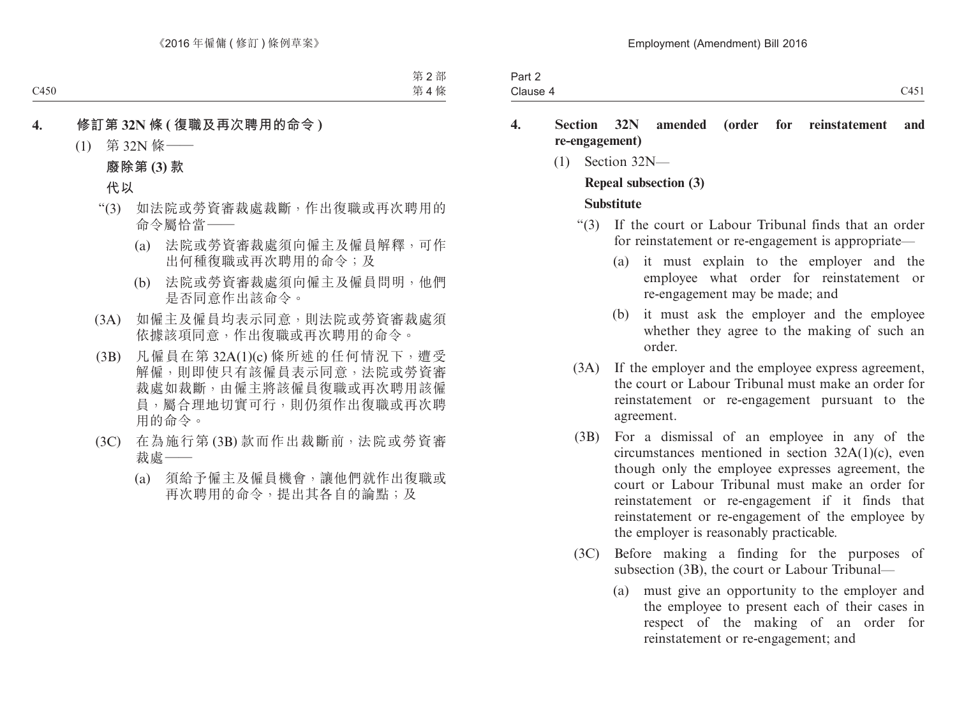| $\sim$ $\sim$ $\sim$<br>U 1 J 1 | Part $\geq$ |  |
|---------------------------------|-------------|--|
|                                 | Clause 4    |  |

## **4. Section 32N amended (order for reinstatement and re-engagement)**

(1) Section 32N—

## **Repeal subsection (3) Substitute**

- "(3) If the court or Labour Tribunal finds that an order for reinstatement or re-engagement is appropriate—
	- (a) it must explain to the employer and the employee what order for reinstatement or re-engagement may be made; and
	- (b) it must ask the employer and the employee whether they agree to the making of such an order.
- (3A) If the employer and the employee express agreement, the court or Labour Tribunal must make an order for reinstatement or re-engagement pursuant to the agreement.
- (3B) For a dismissal of an employee in any of the circumstances mentioned in section 32A(1)(c), even though only the employee expresses agreement, the court or Labour Tribunal must make an order for reinstatement or re-engagement if it finds that reinstatement or re-engagement of the employee by the employer is reasonably practicable.
- (3C) Before making a finding for the purposes of subsection (3B), the court or Labour Tribunal—
	- (a) must give an opportunity to the employer and the employee to present each of their cases in respect of the making of an order for reinstatement or re-engagement; and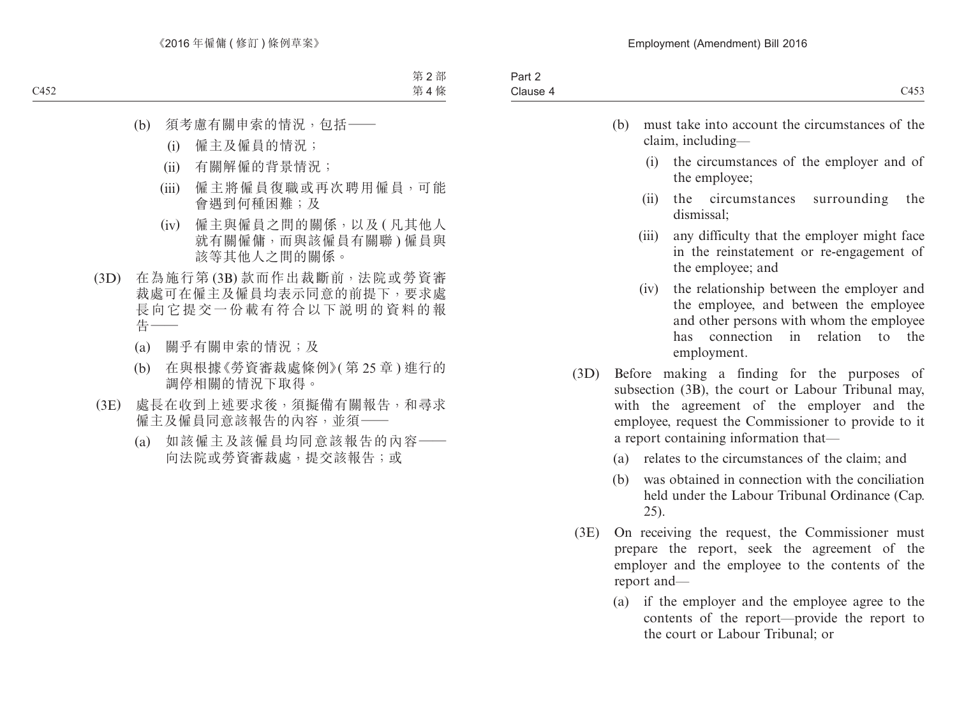| C453                                                                                                         |       | Clause 4 |
|--------------------------------------------------------------------------------------------------------------|-------|----------|
| must take into account the circumstances of the<br>claim, including—                                         | (b)   |          |
| the circumstances of the employer and of<br>the employee;                                                    | (i)   |          |
| surrounding<br>circumstances<br>the<br>the<br>dismissal;                                                     | (11)  |          |
| any difficulty that the employer might face<br>in the reinstatement or re-engagement of<br>the employee; and | (111) |          |
| the relationship between the employer and                                                                    | (1V)  |          |

- the employee, and between the employee and other persons with whom the employee has connection in relation to the employment.
- (3D) Before making a finding for the purposes of subsection (3B), the court or Labour Tribunal may, with the agreement of the employer and the employee, request the Commissioner to provide to it a report containing information that—
	- (a) relates to the circumstances of the claim; and
	- (b) was obtained in connection with the conciliation held under the Labour Tribunal Ordinance (Cap. 25).
- (3E) On receiving the request, the Commissioner must prepare the report, seek the agreement of the employer and the employee to the contents of the report and—
	- (a) if the employer and the employee agree to the contents of the report—provide the report to the court or Labour Tribunal; or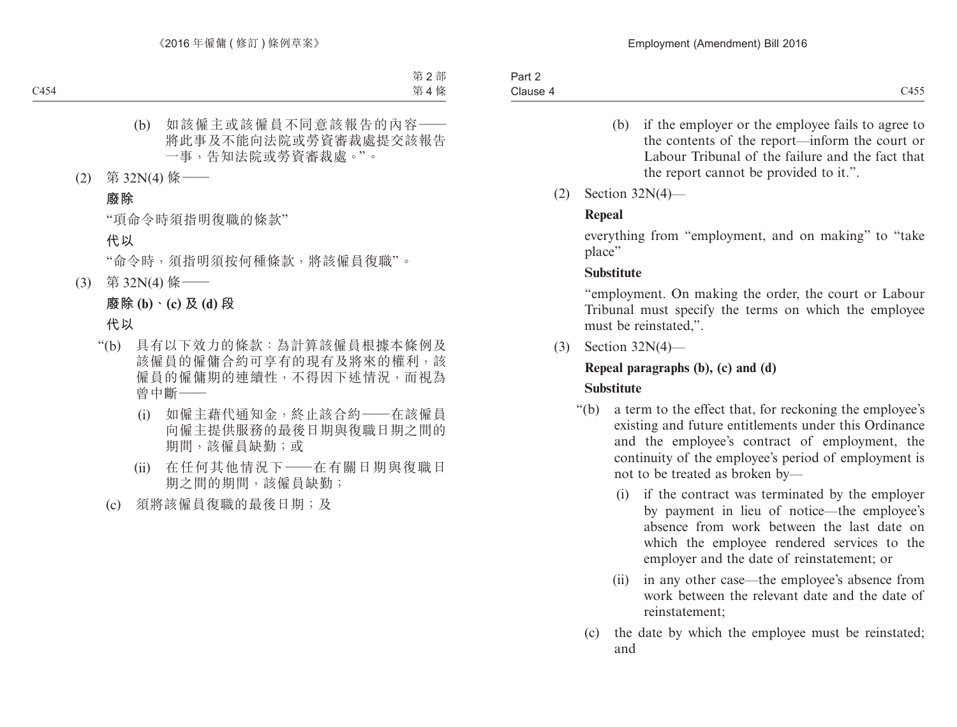- (b) if the employer or the employee fails to agree to the contents of the report—inform the court or Labour Tribunal of the failure and the fact that the report cannot be provided to it.".
- (2) Section 32N(4)—

# **Repeal**

everything from "employment, and on making" to "take place"

# **Substitute**

"employment. On making the order, the court or Labour Tribunal must specify the terms on which the employee must be reinstated,".

(3) Section 32N(4)—

# **Repeal paragraphs (b), (c) and (d)**

# **Substitute**

- "(b) a term to the effect that, for reckoning the employee's existing and future entitlements under this Ordinance and the employee's contract of employment, the continuity of the employee's period of employment is not to be treated as broken by—
	- (i) if the contract was terminated by the employer by payment in lieu of notice—the employee's absence from work between the last date on which the employee rendered services to the employer and the date of reinstatement; or
	- (ii) in any other case—the employee's absence from work between the relevant date and the date of reinstatement;
	- (c) the date by which the employee must be reinstated; and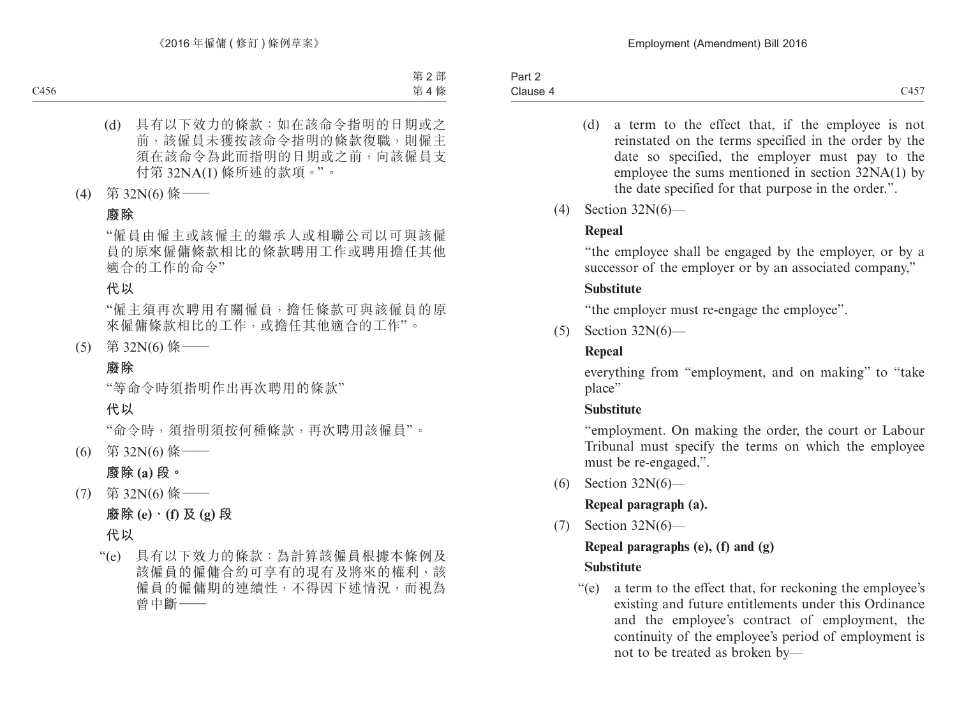- (d) a term to the effect that, if the employee is not reinstated on the terms specified in the order by the date so specified, the employer must pay to the employee the sums mentioned in section 32NA(1) by the date specified for that purpose in the order.".
- (4) Section 32N(6)—

# **Repeal**

"the employee shall be engaged by the employer, or by a successor of the employer or by an associated company,"

# **Substitute**

"the employer must re-engage the employee".

(5) Section 32N(6)—

# **Repeal**

everything from "employment, and on making" to "take place"

# **Substitute**

"employment. On making the order, the court or Labour Tribunal must specify the terms on which the employee must be re-engaged,".

(6) Section 32N(6)—

# **Repeal paragraph (a).**

(7) Section 32N(6)—

# **Repeal paragraphs (e), (f) and (g)**

# **Substitute**

"(e) a term to the effect that, for reckoning the employee's existing and future entitlements under this Ordinance and the employee's contract of employment, the continuity of the employee's period of employment is not to be treated as broken by—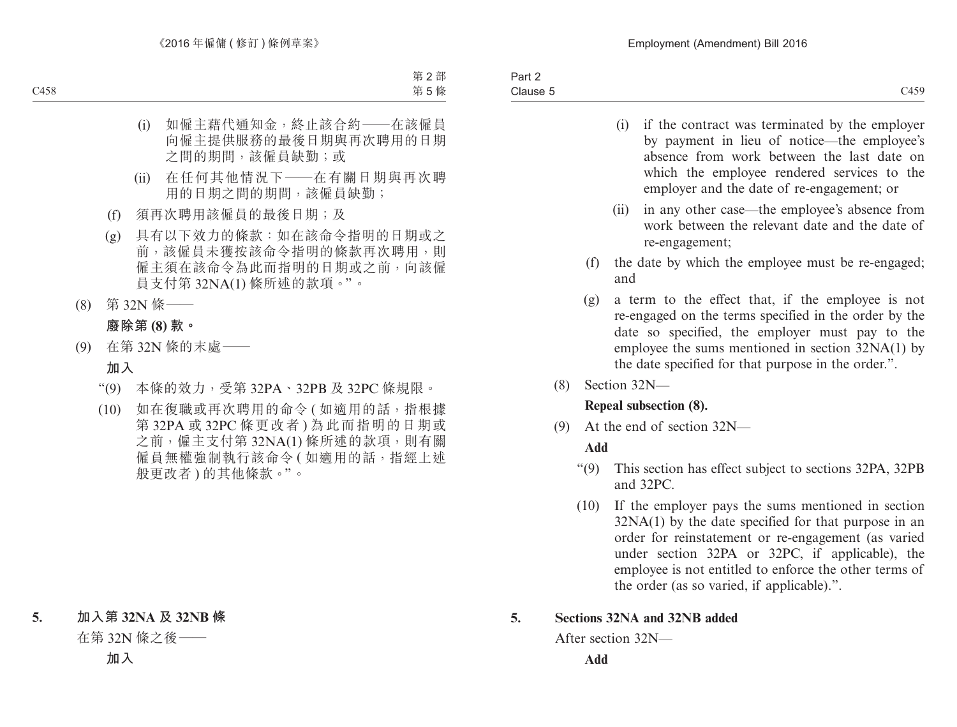- (i) if the contract was terminated by the employer by payment in lieu of notice—the employee's absence from work between the last date on which the employee rendered services to the employer and the date of re-engagement; or
- (ii) in any other case—the employee's absence from work between the relevant date and the date of re-engagement;
- (f) the date by which the employee must be re-engaged; and
- (g) a term to the effect that, if the employee is not re-engaged on the terms specified in the order by the date so specified, the employer must pay to the employee the sums mentioned in section 32NA(1) by the date specified for that purpose in the order.".
- (8) Section 32N—

## **Repeal subsection (8).**

(9) At the end of section 32N—

# **Add**

- "(9) This section has effect subject to sections 32PA, 32PB and 32PC.
- (10) If the employer pays the sums mentioned in section 32NA(1) by the date specified for that purpose in an order for reinstatement or re-engagement (as varied under section 32PA or 32PC, if applicable), the employee is not entitled to enforce the other terms of the order (as so varied, if applicable).".

# **5. Sections 32NA and 32NB added**

After section 32N—

**Add**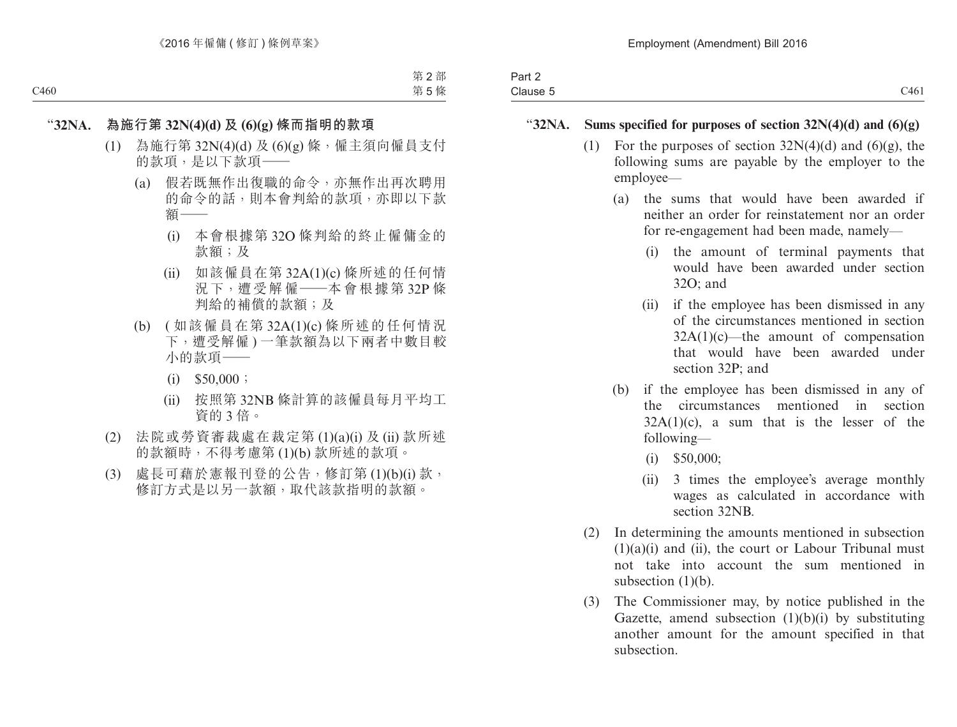| $\sim$<br>Part 2<br>. |     |
|-----------------------|-----|
| Clause 5              | C46 |

#### "**32NA. Sums specified for purposes of section 32N(4)(d) and (6)(g)**

- (1) For the purposes of section  $32N(4)(d)$  and  $(6)(g)$ , the following sums are payable by the employer to the employee—
	- (a) the sums that would have been awarded if neither an order for reinstatement nor an order for re-engagement had been made, namely—
		- (i) the amount of terminal payments that would have been awarded under section 32O; and
		- (ii) if the employee has been dismissed in any of the circumstances mentioned in section 32A(1)(c)—the amount of compensation that would have been awarded under section 32P; and
	- (b) if the employee has been dismissed in any of the circumstances mentioned in section  $32A(1)(c)$ , a sum that is the lesser of the following—
		- (i) \$50,000;
		- (ii) 3 times the employee's average monthly wages as calculated in accordance with section 32NB
- (2) In determining the amounts mentioned in subsection  $(1)(a)(i)$  and  $(ii)$ , the court or Labour Tribunal must not take into account the sum mentioned in subsection  $(1)(b)$ .
- (3) The Commissioner may, by notice published in the Gazette, amend subsection  $(1)(b)(i)$  by substituting another amount for the amount specified in that subsection.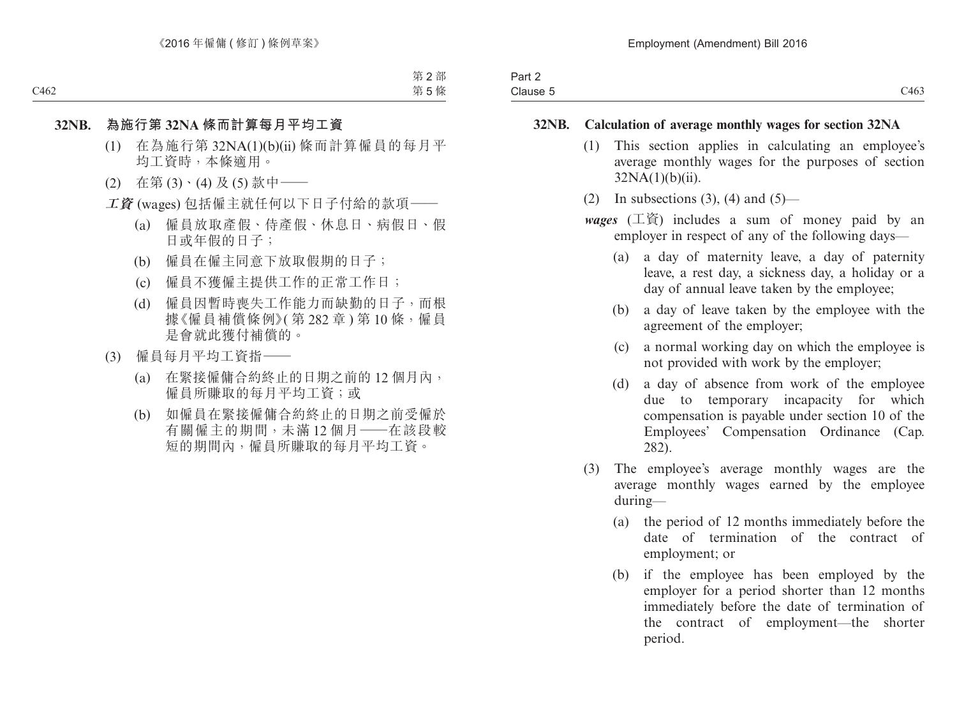| -<br>Part 2    |      |
|----------------|------|
| Clause<br>____ | C463 |

#### **32NB. Calculation of average monthly wages for section 32NA**

- (1) This section applies in calculating an employee's average monthly wages for the purposes of section 32NA(1)(b)(ii).
- (2) In subsections  $(3)$ ,  $(4)$  and  $(5)$ —
- *wages* (工資) includes a sum of money paid by an employer in respect of any of the following days—
	- (a) a day of maternity leave, a day of paternity leave, a rest day, a sickness day, a holiday or a day of annual leave taken by the employee;
	- (b) a day of leave taken by the employee with the agreement of the employer;
	- (c) a normal working day on which the employee is not provided with work by the employer;
	- (d) a day of absence from work of the employee due to temporary incapacity for which compensation is payable under section 10 of the Employees' Compensation Ordinance (Cap. 282).
- (3) The employee's average monthly wages are the average monthly wages earned by the employee during—
	- (a) the period of 12 months immediately before the date of termination of the contract of employment; or
	- (b) if the employee has been employed by the employer for a period shorter than 12 months immediately before the date of termination of the contract of employment—the shorter period.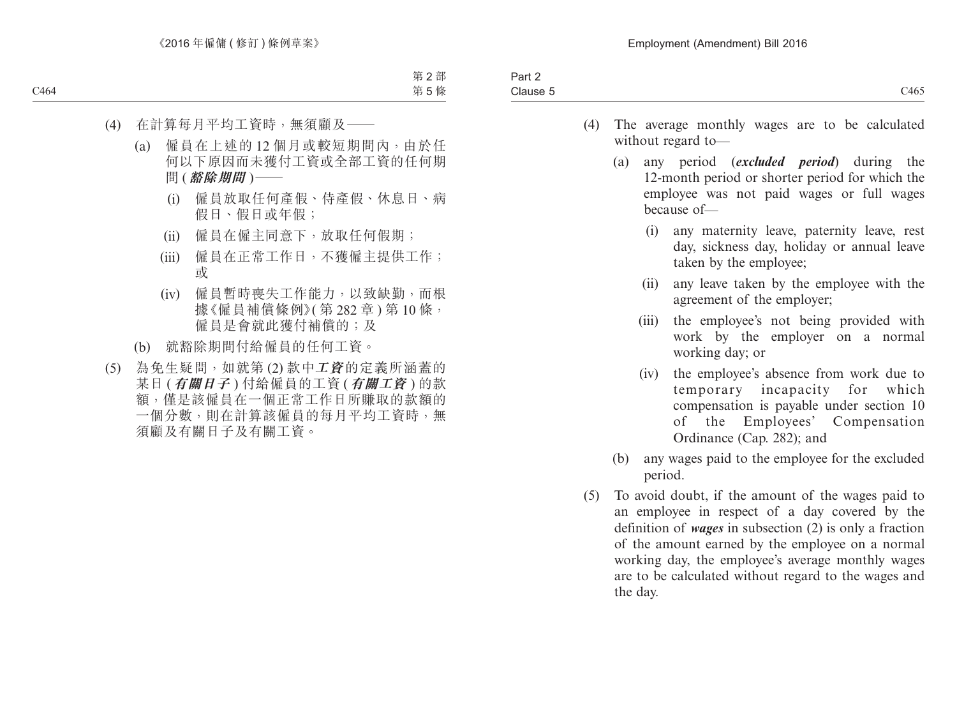| Part.                 |               |
|-----------------------|---------------|
| r.<br>`la⊔se<br><br>. | .14CT<br>.463 |
|                       |               |

- (4) The average monthly wages are to be calculated without regard to—
	- (a) any period (*excluded period*) during the 12-month period or shorter period for which the employee was not paid wages or full wages because of—
		- (i) any maternity leave, paternity leave, rest day, sickness day, holiday or annual leave taken by the employee;
		- (ii) any leave taken by the employee with the agreement of the employer;
		- (iii) the employee's not being provided with work by the employer on a normal working day; or
		- (iv) the employee's absence from work due to temporary incapacity for which compensation is payable under section 10 of the Employees' Compensation Ordinance (Cap. 282); and
	- (b) any wages paid to the employee for the excluded period.
- (5) To avoid doubt, if the amount of the wages paid to an employee in respect of a day covered by the definition of *wages* in subsection (2) is only a fraction of the amount earned by the employee on a normal working day, the employee's average monthly wages are to be calculated without regard to the wages and the day.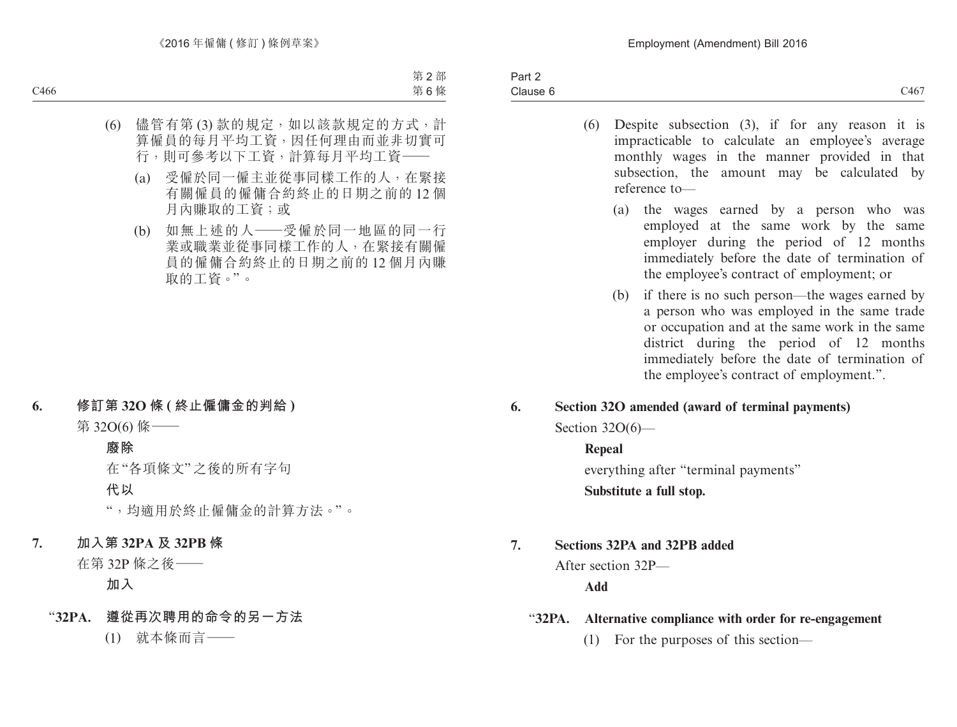- (6) Despite subsection (3), if for any reason it is impracticable to calculate an employee's average monthly wages in the manner provided in that subsection, the amount may be calculated by reference to—
	- (a) the wages earned by a person who was employed at the same work by the same employer during the period of 12 months immediately before the date of termination of the employee's contract of employment; or
	- (b) if there is no such person—the wages earned by a person who was employed in the same trade or occupation and at the same work in the same district during the period of 12 months immediately before the date of termination of the employee's contract of employment.".
- **6. Section 32O amended (award of terminal payments)** Section 32O(6)—

## **Repeal**

everything after "terminal payments" **Substitute a full stop.**

# **7. Sections 32PA and 32PB added**

After section 32P—

## **Add**

## "**32PA. Alternative compliance with order for re-engagement**

(1) For the purposes of this section—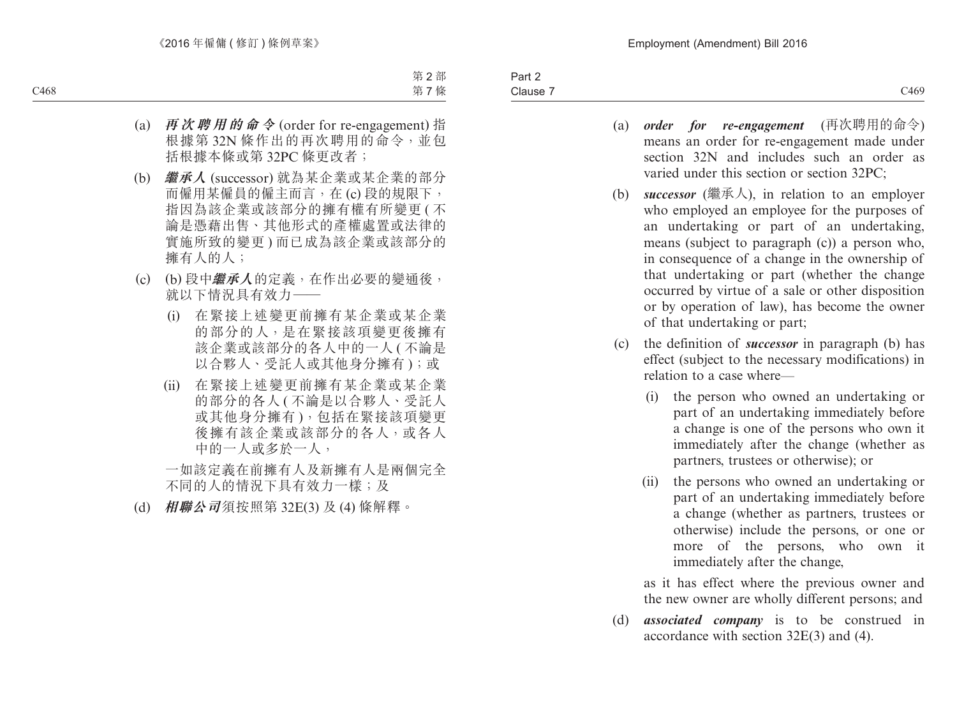Part 2 Clause 7 Clause 7 and 2008 C469 C469

- (a) *order for re-engagement* (再次聘用的命令) means an order for re-engagement made under
- section 32N and includes such an order as varied under this section or section 32PC; (b) *successor* (繼承人), in relation to an employer who employed an employee for the purposes of an undertaking or part of an undertaking,
	- means (subject to paragraph (c)) a person who, in consequence of a change in the ownership of that undertaking or part (whether the change occurred by virtue of a sale or other disposition or by operation of law), has become the owner of that undertaking or part;
- (c) the definition of *successor* in paragraph (b) has effect (subject to the necessary modifications) in relation to a case where—
	- (i) the person who owned an undertaking or part of an undertaking immediately before a change is one of the persons who own it immediately after the change (whether as partners, trustees or otherwise); or
	- (ii) the persons who owned an undertaking or part of an undertaking immediately before a change (whether as partners, trustees or otherwise) include the persons, or one or more of the persons, who own it immediately after the change,

as it has effect where the previous owner and the new owner are wholly different persons; and

(d) *associated company* is to be construed in accordance with section 32E(3) and (4).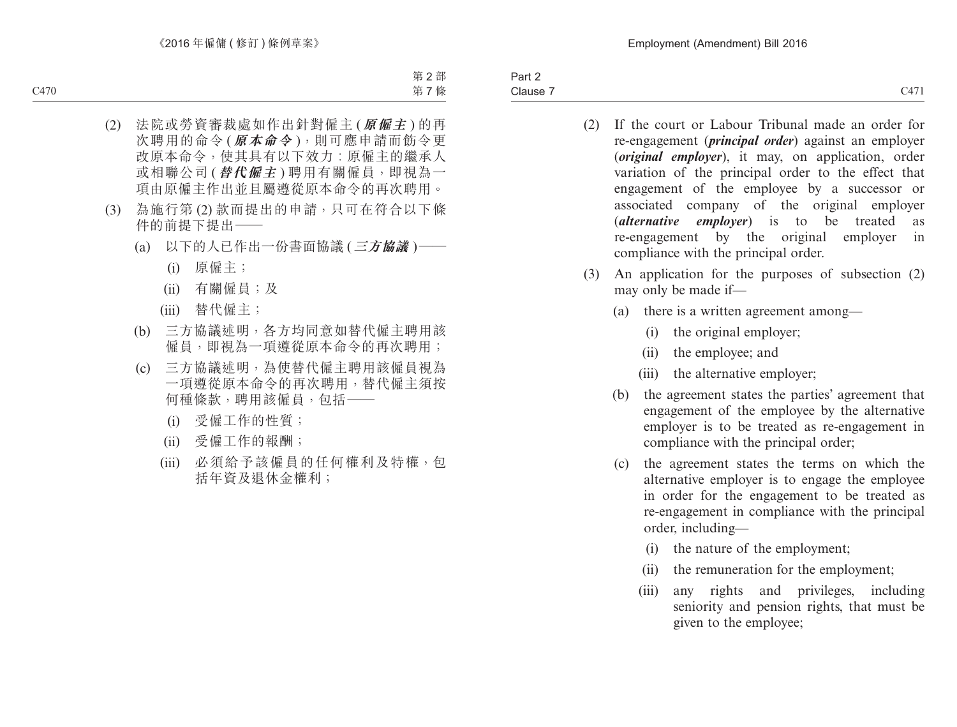Part 2 Clause 7 Clause 7 CATE CONTROLLER CONTROL CONTROL CONTROL CATE CATE CONTROL CATE CATE CONTROLLER CONTROLLER CONTROLLER

- (2) If the court or Labour Tribunal made an order for re-engagement (*principal order*) against an employer (*original employer*), it may, on application, order variation of the principal order to the effect that engagement of the employee by a successor or associated company of the original employer (*alternative employer*) is to be treated as re-engagement by the original employer in compliance with the principal order.
- (3) An application for the purposes of subsection (2) may only be made if—
	- (a) there is a written agreement among—
		- (i) the original employer;
		- (ii) the employee; and
		- (iii) the alternative employer;
	- (b) the agreement states the parties' agreement that engagement of the employee by the alternative employer is to be treated as re-engagement in compliance with the principal order;
	- (c) the agreement states the terms on which the alternative employer is to engage the employee in order for the engagement to be treated as re-engagement in compliance with the principal order, including—
		- (i) the nature of the employment;
		- (ii) the remuneration for the employment;
		- (iii) any rights and privileges, including seniority and pension rights, that must be given to the employee;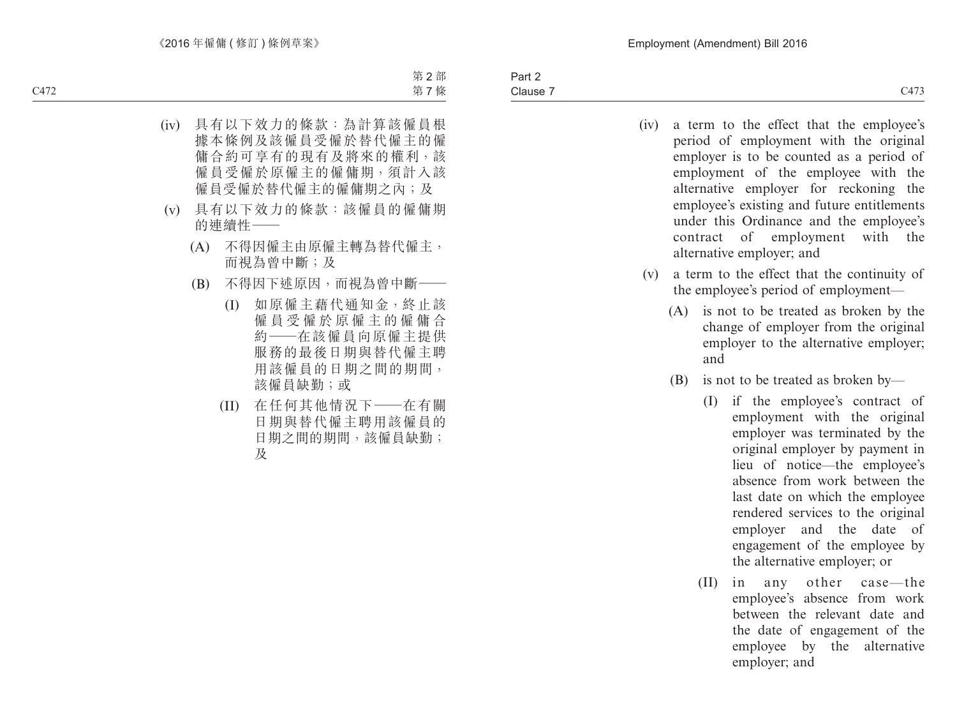| (iv)<br>(v) | contract |      | a term to the effect that the employee's<br>period of employment with the original<br>employer is to be counted as a period of<br>employment of the employee with the<br>alternative employer for reckoning<br>the<br>employee's existing and future entitlements<br>under this Ordinance and the employee's<br>of employment<br>with<br>the<br>alternative employer; and<br>a term to the effect that the continuity of |
|-------------|----------|------|--------------------------------------------------------------------------------------------------------------------------------------------------------------------------------------------------------------------------------------------------------------------------------------------------------------------------------------------------------------------------------------------------------------------------|
|             |          |      | the employee's period of employment—                                                                                                                                                                                                                                                                                                                                                                                     |
|             | (A)      | and  | is not to be treated as broken by the<br>change of employer from the original<br>employer to the alternative employer;                                                                                                                                                                                                                                                                                                   |
|             | (B)      |      | is not to be treated as broken by—                                                                                                                                                                                                                                                                                                                                                                                       |
|             |          | (I)  | if the employee's contract of<br>employment with the original<br>employer was terminated by the<br>original employer by payment in<br>lieu of notice—the employee's<br>absence from work between the<br>last date on which the employee<br>rendered services to the original<br>employer and the<br>date<br>of<br>engagement of the employee by<br>the alternative employer; or                                          |
|             |          | (II) | any other case—the<br>in<br>employee's absence from work<br>between the relevant date and<br>the date of engagement of the<br>employee by the alternative<br>employer; and                                                                                                                                                                                                                                               |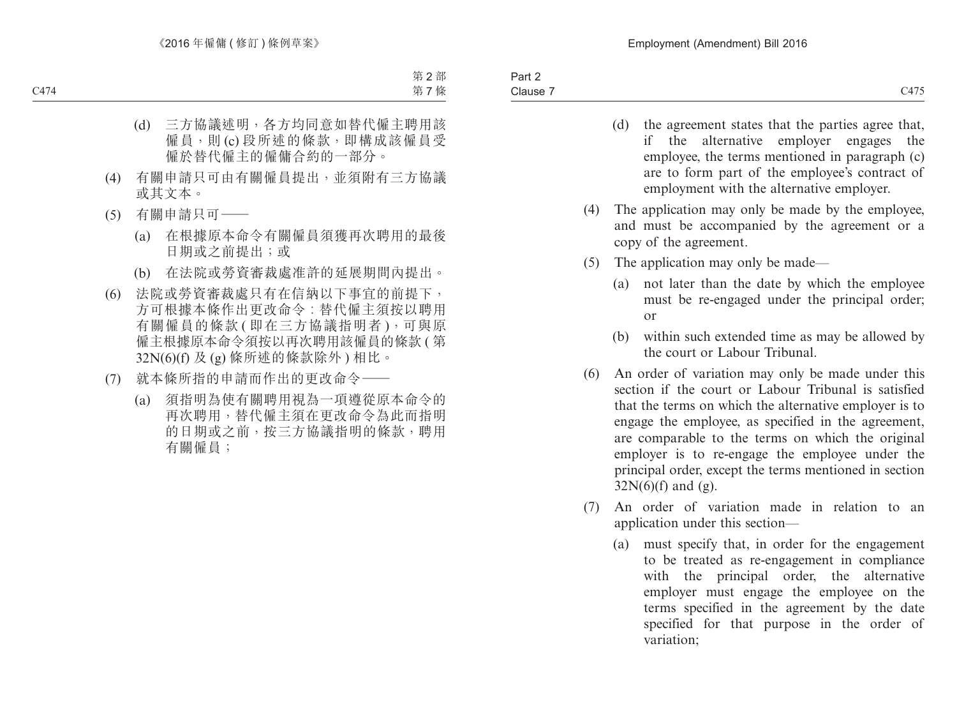- (d) the agreement states that the parties agree that, if the alternative employer engages the employee, the terms mentioned in paragraph (c) are to form part of the employee's contract of employment with the alternative employer.
- (4) The application may only be made by the employee, and must be accompanied by the agreement or a copy of the agreement.
- (5) The application may only be made—
	- (a) not later than the date by which the employee must be re-engaged under the principal order; or
	- (b) within such extended time as may be allowed by the court or Labour Tribunal.
- (6) An order of variation may only be made under this section if the court or Labour Tribunal is satisfied that the terms on which the alternative employer is to engage the employee, as specified in the agreement, are comparable to the terms on which the original employer is to re-engage the employee under the principal order, except the terms mentioned in section  $32N(6)$ (f) and (g).
- (7) An order of variation made in relation to an application under this section—
	- (a) must specify that, in order for the engagement to be treated as re-engagement in compliance with the principal order, the alternative employer must engage the employee on the terms specified in the agreement by the date specified for that purpose in the order of variation;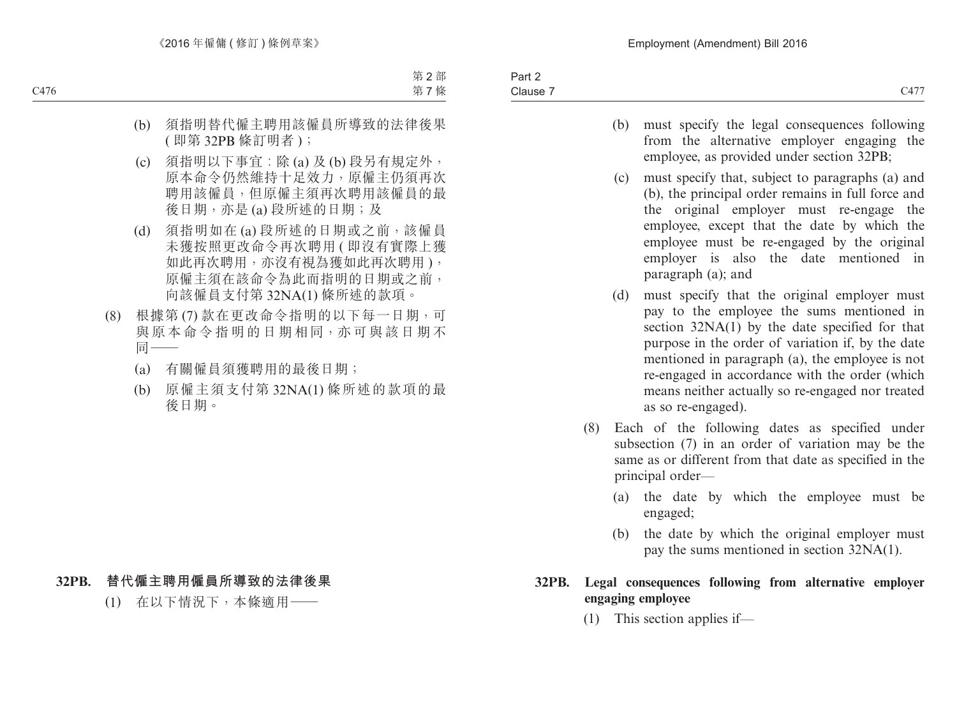Part 2 Clause 7 Clause 7 and 2011 and 2012 and 2014 and 2017 and 2017 and 2017 and 2017 and 2017 and 2017 and 2017 and 2017 and 2017

- 
- (b) must specify the legal consequences following from the alternative employer engaging the employee, as provided under section 32PB;
- (c) must specify that, subject to paragraphs (a) and (b), the principal order remains in full force and the original employer must re-engage the employee, except that the date by which the employee must be re-engaged by the original employer is also the date mentioned in paragraph (a); and
- (d) must specify that the original employer must pay to the employee the sums mentioned in section 32NA(1) by the date specified for that purpose in the order of variation if, by the date mentioned in paragraph (a), the employee is not re-engaged in accordance with the order (which means neither actually so re-engaged nor treated as so re-engaged).
- (8) Each of the following dates as specified under subsection (7) in an order of variation may be the same as or different from that date as specified in the principal order—
	- (a) the date by which the employee must be engaged;
	- (b) the date by which the original employer must pay the sums mentioned in section 32NA(1).

#### **32PB. Legal consequences following from alternative employer engaging employee**

(1) This section applies if—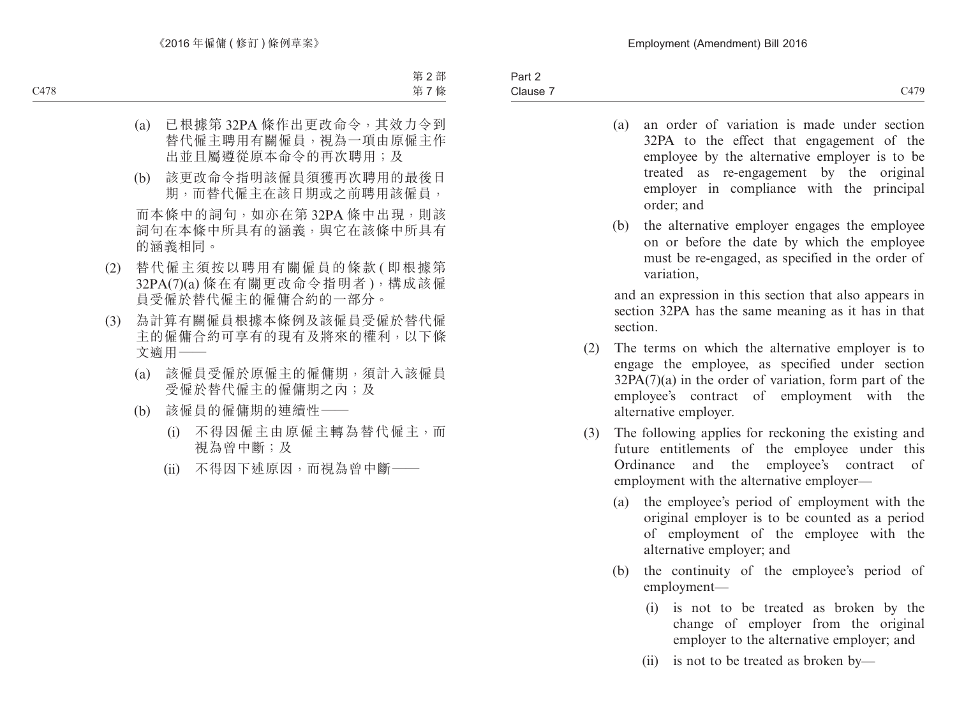- (a) an order of variation is made under section 32PA to the effect that engagement of the employee by the alternative employer is to be treated as re-engagement by the original employer in compliance with the principal order; and
- (b) the alternative employer engages the employee on or before the date by which the employee must be re-engaged, as specified in the order of variation,

and an expression in this section that also appears in section 32PA has the same meaning as it has in that section.

- (2) The terms on which the alternative employer is to engage the employee, as specified under section  $32PA(7)(a)$  in the order of variation, form part of the employee's contract of employment with the alternative employer.
- (3) The following applies for reckoning the existing and future entitlements of the employee under this Ordinance and the employee's contract of employment with the alternative employer—
	- (a) the employee's period of employment with the original employer is to be counted as a period of employment of the employee with the alternative employer; and
	- (b) the continuity of the employee's period of employment—
		- (i) is not to be treated as broken by the change of employer from the original employer to the alternative employer; and
		- (ii) is not to be treated as broken by—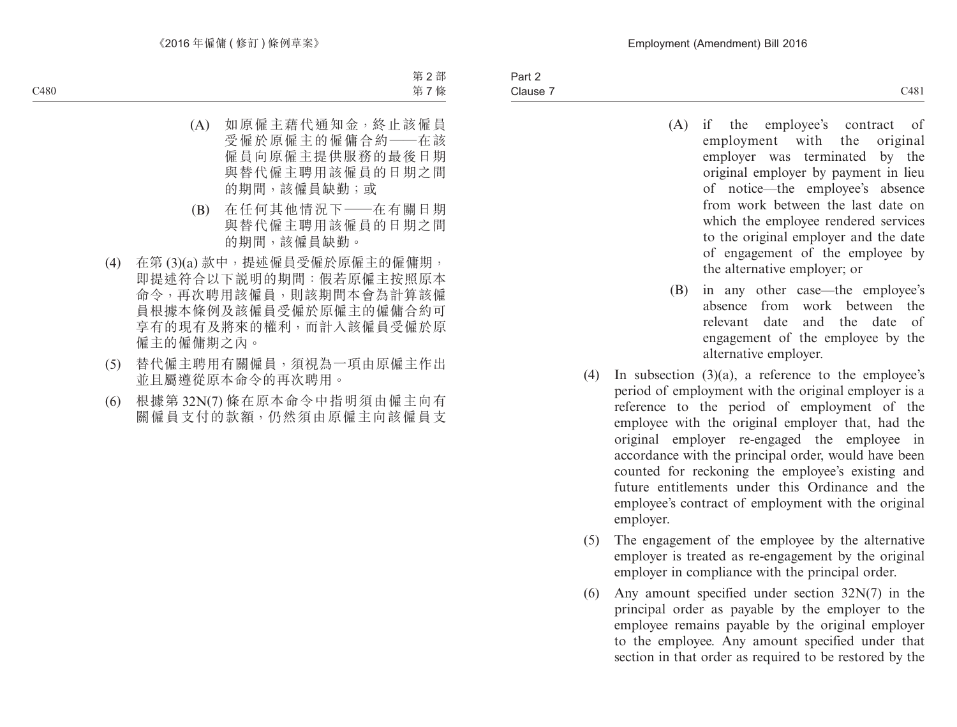- (A) if the employee's contract of employment with the original employer was terminated by the original employer by payment in lieu of notice—the employee's absence from work between the last date on which the employee rendered services to the original employer and the date of engagement of the employee by the alternative employer; or
- (B) in any other case—the employee's absence from work between the relevant date and the date of engagement of the employee by the alternative employer.
- (4) In subsection  $(3)(a)$ , a reference to the employee's period of employment with the original employer is a reference to the period of employment of the employee with the original employer that, had the original employer re-engaged the employee in accordance with the principal order, would have been counted for reckoning the employee's existing and future entitlements under this Ordinance and the employee's contract of employment with the original employer.
- (5) The engagement of the employee by the alternative employer is treated as re-engagement by the original employer in compliance with the principal order.
- (6) Any amount specified under section 32N(7) in the principal order as payable by the employer to the employee remains payable by the original employer to the employee. Any amount specified under that section in that order as required to be restored by the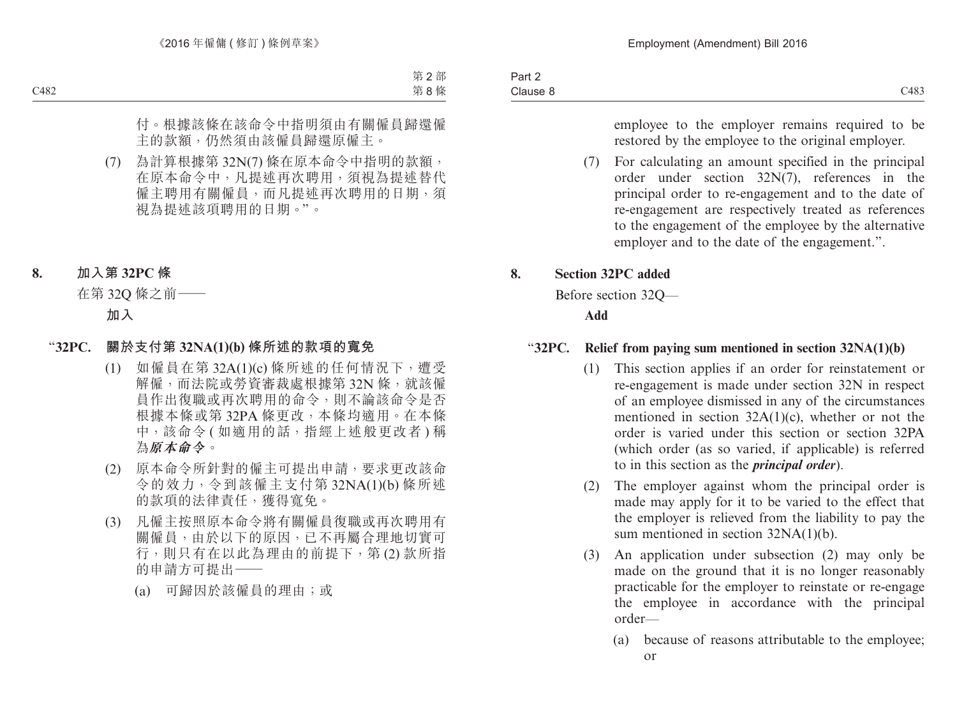employee to the employer remains required to be restored by the employee to the original employer.

(7) For calculating an amount specified in the principal order under section 32N(7), references in the principal order to re-engagement and to the date of re-engagement are respectively treated as references to the engagement of the employee by the alternative employer and to the date of the engagement.".

# **8. Section 32PC added**

Before section 32Q—

**Add**

# "**32PC. Relief from paying sum mentioned in section 32NA(1)(b)**

- (1) This section applies if an order for reinstatement or re-engagement is made under section 32N in respect of an employee dismissed in any of the circumstances mentioned in section 32A(1)(c), whether or not the order is varied under this section or section 32PA (which order (as so varied, if applicable) is referred to in this section as the *principal order*).
- (2) The employer against whom the principal order is made may apply for it to be varied to the effect that the employer is relieved from the liability to pay the sum mentioned in section 32NA(1)(b).
- (3) An application under subsection (2) may only be made on the ground that it is no longer reasonably practicable for the employer to reinstate or re-engage the employee in accordance with the principal order—
	- (a) because of reasons attributable to the employee; or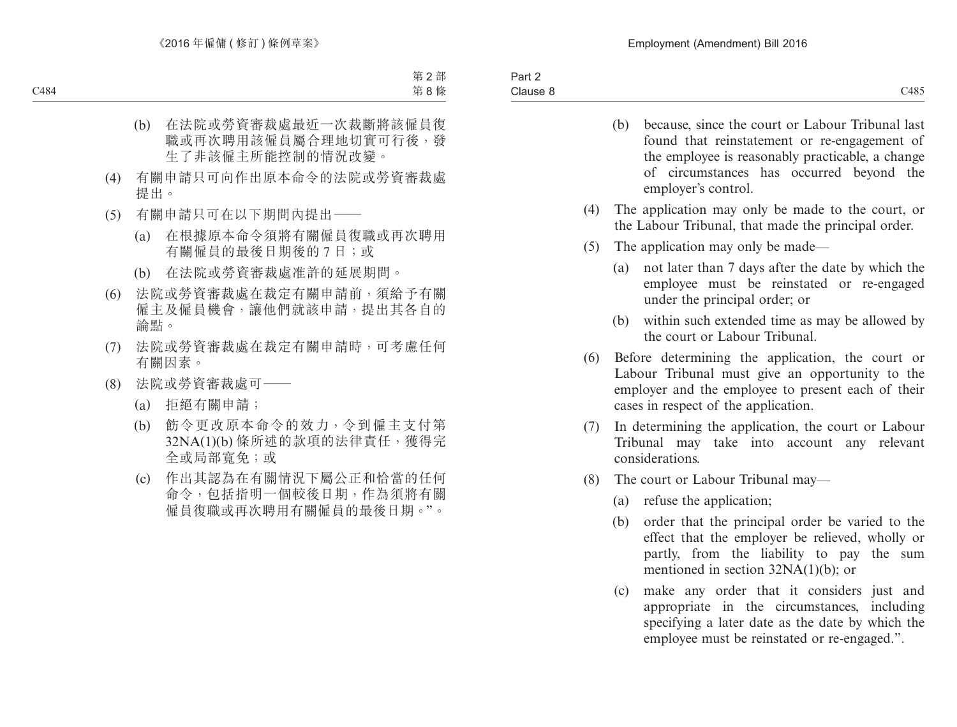- (b) because, since the court or Labour Tribunal last found that reinstatement or re-engagement of the employee is reasonably practicable, a change of circumstances has occurred beyond the employer's control.
- (4) The application may only be made to the court, or the Labour Tribunal, that made the principal order.
- (5) The application may only be made—
	- (a) not later than 7 days after the date by which the employee must be reinstated or re-engaged under the principal order; or
	- (b) within such extended time as may be allowed by the court or Labour Tribunal.
- (6) Before determining the application, the court or Labour Tribunal must give an opportunity to the employer and the employee to present each of their cases in respect of the application.
- (7) In determining the application, the court or Labour Tribunal may take into account any relevant considerations.
- (8) The court or Labour Tribunal may—
	- (a) refuse the application;
	- (b) order that the principal order be varied to the effect that the employer be relieved, wholly or partly, from the liability to pay the sum mentioned in section 32NA(1)(b); or
	- (c) make any order that it considers just and appropriate in the circumstances, including specifying a later date as the date by which the employee must be reinstated or re-engaged.".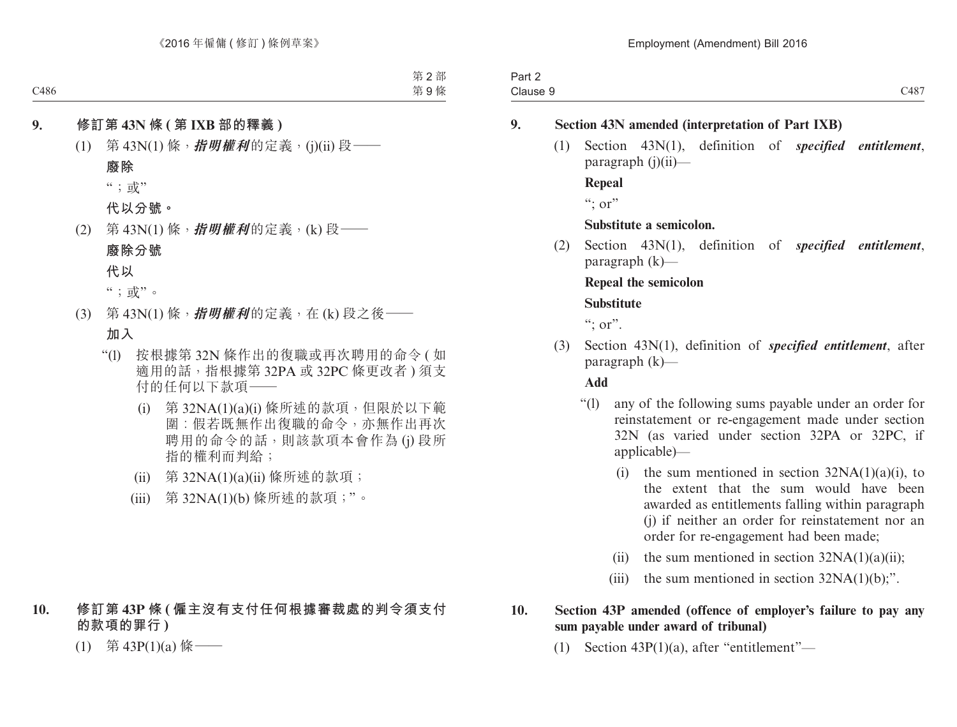| $\overline{\phantom{a}}$<br>າ~~+<br>−ail 4 |                             |
|--------------------------------------------|-----------------------------|
| 212.12<br>Jiduse.                          | $3.40 -$<br>$\cdots$<br>___ |

# **9. Section 43N amended (interpretation of Part IXB)**

(1) Section 43N(1), definition of *specified entitlement*, paragraph  $(i)(ii)$ —

**Repeal**

 $\cdots$  or"

## **Substitute a semicolon.**

(2) Section 43N(1), definition of *specified entitlement*, paragraph (k)—

**Repeal the semicolon**

## **Substitute**

":  $or$ ".

(3) Section 43N(1), definition of *specified entitlement*, after paragraph (k)—

**Add**

- "(l) any of the following sums payable under an order for reinstatement or re-engagement made under section 32N (as varied under section 32PA or 32PC, if applicable)—
	- (i) the sum mentioned in section  $32NA(1)(a)(i)$ , to the extent that the sum would have been awarded as entitlements falling within paragraph (j) if neither an order for reinstatement nor an order for re-engagement had been made;
	- (ii) the sum mentioned in section  $32NA(1)(a)(ii)$ ;
	- (iii) the sum mentioned in section  $32NA(1)(b)$ ;".

## **10. Section 43P amended (offence of employer's failure to pay any sum payable under award of tribunal)**

(1) Section 43P(1)(a), after "entitlement"—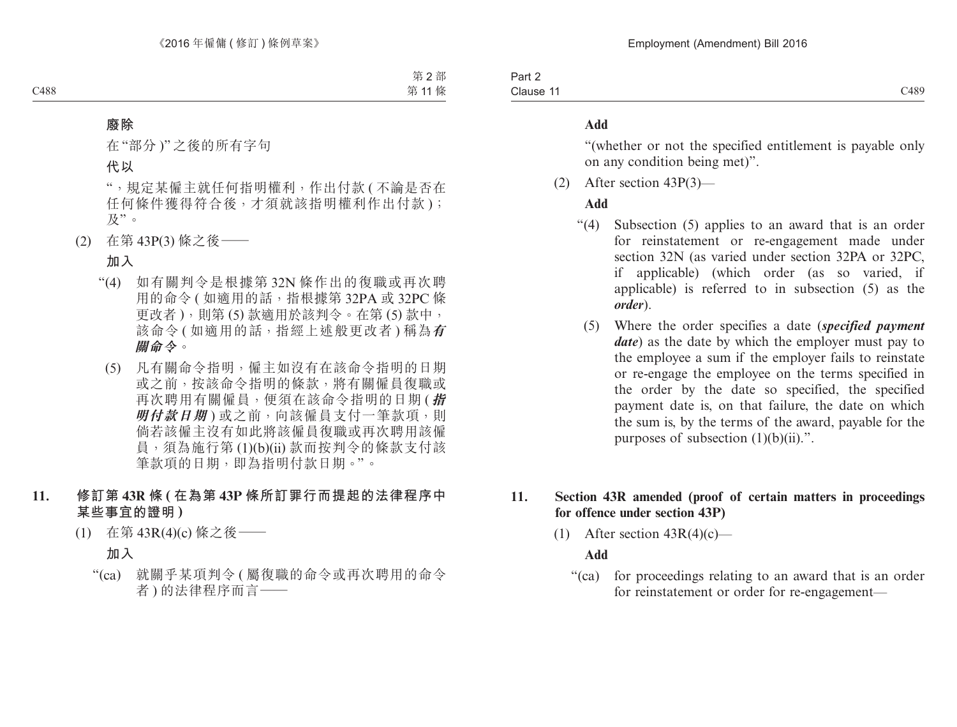Part 2 Clause 11 Clause 11 Cass and the CASS of the CASS of the CASS of the CASS of the CASS of the CASS of the CASS of the CASS of the CASS of the CASS of the CASS of the CASS of the CASS of the CASS of the CASS of the CASS of the CASS of

#### **Add**

"(whether or not the specified entitlement is payable only on any condition being met)".

(2) After section 43P(3)—

#### **Add**

- "(4) Subsection (5) applies to an award that is an order for reinstatement or re-engagement made under section 32N (as varied under section 32PA or 32PC, if applicable) (which order (as so varied, if applicable) is referred to in subsection (5) as the *order*).
	- (5) Where the order specifies a date (*specified payment date*) as the date by which the employer must pay to the employee a sum if the employer fails to reinstate or re-engage the employee on the terms specified in the order by the date so specified, the specified payment date is, on that failure, the date on which the sum is, by the terms of the award, payable for the purposes of subsection  $(1)(b)(ii)$ .".

## **11. Section 43R amended (proof of certain matters in proceedings for offence under section 43P)**

(1) After section  $43R(4)(c)$ —

## **Add**

"(ca) for proceedings relating to an award that is an order for reinstatement or order for re-engagement—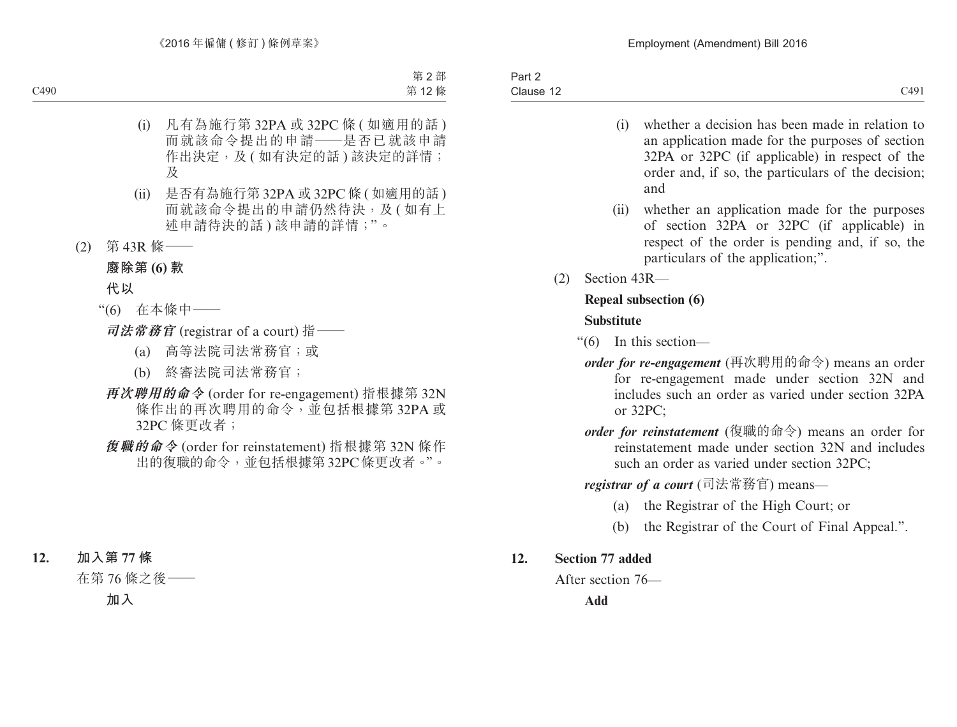- (i) whether a decision has been made in relation to an application made for the purposes of section 32PA or 32PC (if applicable) in respect of the order and, if so, the particulars of the decision; and
- (ii) whether an application made for the purposes of section 32PA or 32PC (if applicable) in respect of the order is pending and, if so, the particulars of the application;".
- (2) Section 43R—

# **Repeal subsection (6)**

# **Substitute**

- "(6) In this section
	- *order for re-engagement* (再次聘用的命令) means an order for re-engagement made under section 32N and includes such an order as varied under section 32PA or 32PC;
	- *order for reinstatement* (復職的命令) means an order for reinstatement made under section 32N and includes such an order as varied under section 32PC;

*registrar of a court* (司法常務官) means—

- (a) the Registrar of the High Court; or
- (b) the Registrar of the Court of Final Appeal.".

# **12. Section 77 added**

After section 76—

**Add**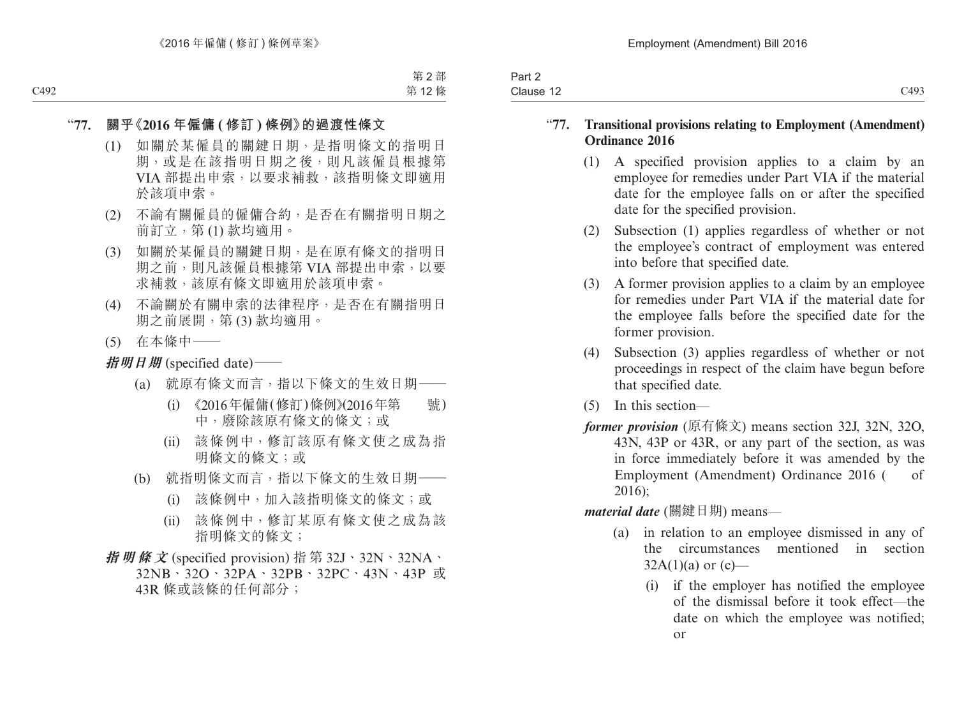| $\overline{\phantom{a}}$<br>Part 2 |      |
|------------------------------------|------|
| Clause 12                          | C493 |

#### "**77. Transitional provisions relating to Employment (Amendment) Ordinance 2016**

- (1) A specified provision applies to a claim by an employee for remedies under Part VIA if the material date for the employee falls on or after the specified date for the specified provision.
- (2) Subsection (1) applies regardless of whether or not the employee's contract of employment was entered into before that specified date.
- (3) A former provision applies to a claim by an employee for remedies under Part VIA if the material date for the employee falls before the specified date for the former provision.
- (4) Subsection (3) applies regardless of whether or not proceedings in respect of the claim have begun before that specified date.
- (5) In this section—
- *former provision* (原有條文) means section 32J, 32N, 32O, 43N, 43P or 43R, or any part of the section, as was in force immediately before it was amended by the Employment (Amendment) Ordinance 2016 ( of 2016);

*material date* (關鍵日期) means—

- (a) in relation to an employee dismissed in any of the circumstances mentioned in section  $32A(1)(a)$  or  $(c)$ —
	- (i) if the employer has notified the employee of the dismissal before it took effect—the date on which the employee was notified; or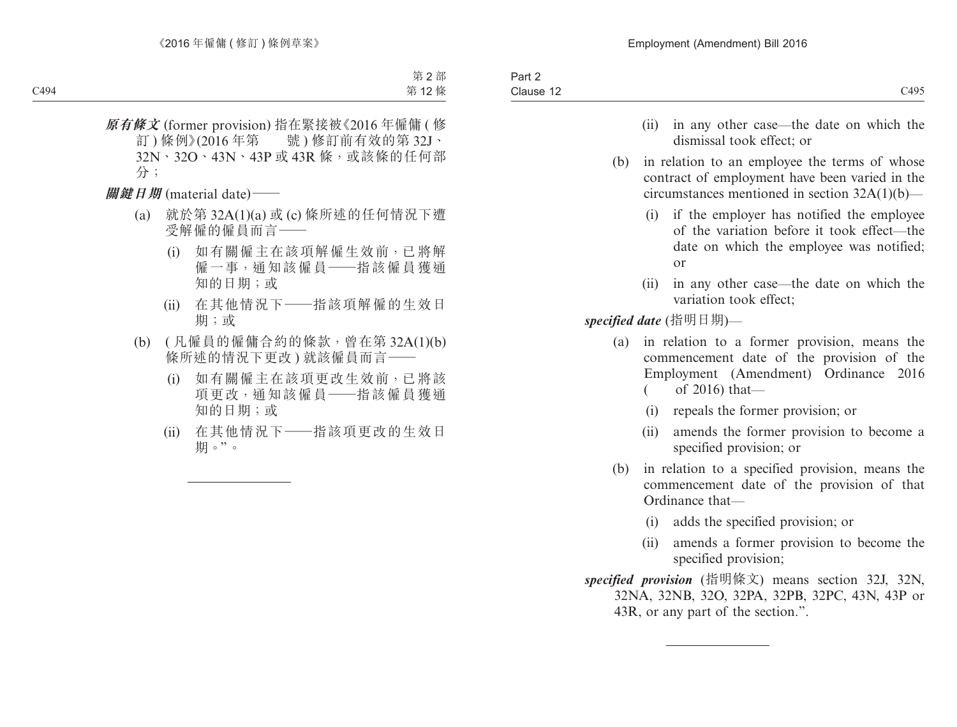- (ii) in any other case—the date on which the dismissal took effect: or
- (b) in relation to an employee the terms of whose contract of employment have been varied in the circumstances mentioned in section 32A(1)(b)—
	- (i) if the employer has notified the employee of the variation before it took effect—the date on which the employee was notified; or
	- (ii) in any other case—the date on which the variation took effect;

*specified date* (指明日期)—

- (a) in relation to a former provision, means the commencement date of the provision of the Employment (Amendment) Ordinance 2016  $\frac{\text{of } 2016 \text{ that}}{\text{of } 2016}$ 
	- (i) repeals the former provision; or
	- (ii) amends the former provision to become a specified provision; or
- (b) in relation to a specified provision, means the commencement date of the provision of that Ordinance that—
	- (i) adds the specified provision; or
	- (ii) amends a former provision to become the specified provision;

*specified provision* (指明條文) means section 32J, 32N, 32NA, 32NB, 32O, 32PA, 32PB, 32PC, 43N, 43P or 43R, or any part of the section.".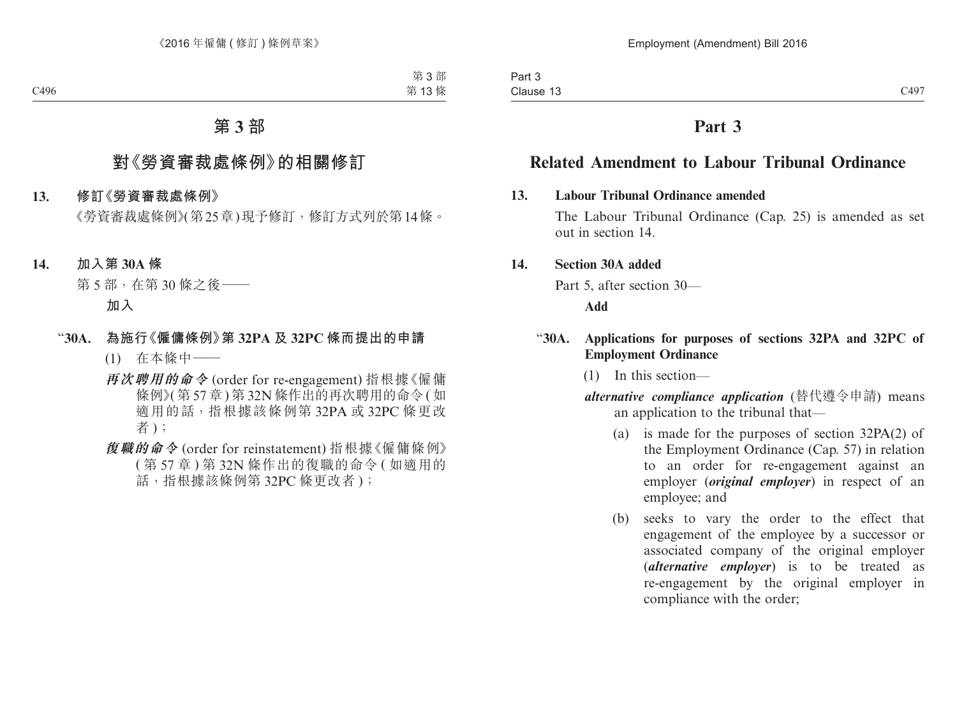# **Related Amendment to Labour Tribunal Ordinance**

## **13. Labour Tribunal Ordinance amended**

The Labour Tribunal Ordinance (Cap. 25) is amended as set out in section 14.

# **14. Section 30A added**

Part 5, after section 30—

**Add**

## "**30A. Applications for purposes of sections 32PA and 32PC of Employment Ordinance**

(1) In this section—

*alternative compliance application* (替代遵令申請) means an application to the tribunal that—

- (a) is made for the purposes of section 32PA(2) of the Employment Ordinance (Cap. 57) in relation to an order for re-engagement against an employer (*original employer*) in respect of an employee; and
- (b) seeks to vary the order to the effect that engagement of the employee by a successor or associated company of the original employer (*alternative employer*) is to be treated as re-engagement by the original employer in compliance with the order;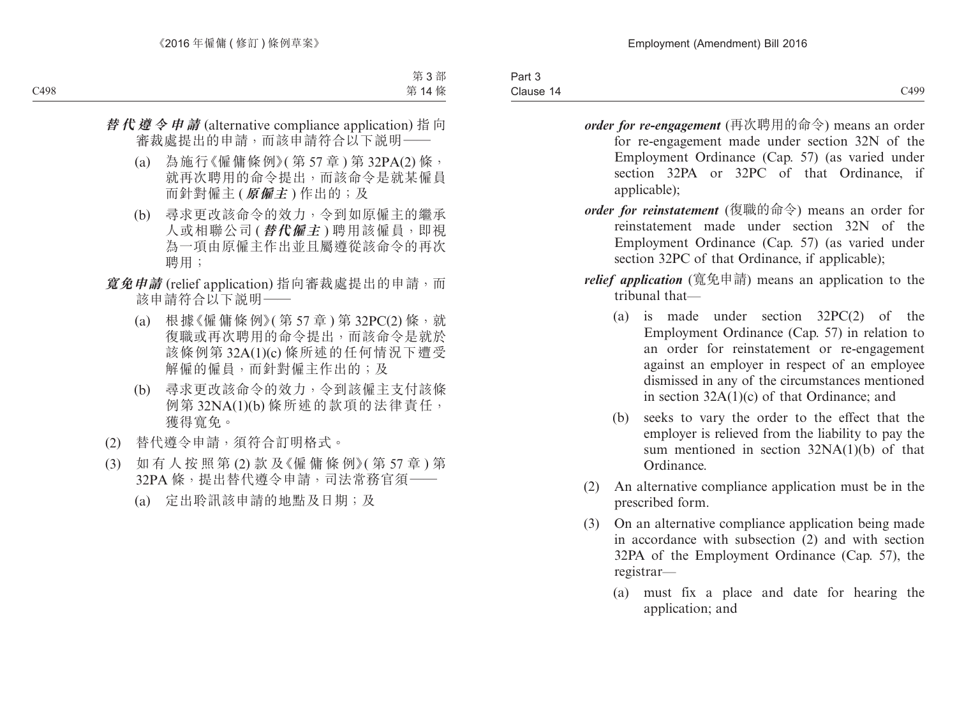- *order for re-engagement* (再次聘用的命令) means an order for re-engagement made under section 32N of the Employment Ordinance (Cap. 57) (as varied under section 32PA or 32PC of that Ordinance, if
- applicable); *order for reinstatement* (復職的命令) means an order for
- reinstatement made under section 32N of the Employment Ordinance (Cap. 57) (as varied under section 32PC of that Ordinance, if applicable);
- *relief application* (寬免申請) means an application to the tribunal that—
	- (a) is made under section 32PC(2) of the Employment Ordinance (Cap. 57) in relation to an order for reinstatement or re-engagement against an employer in respect of an employee dismissed in any of the circumstances mentioned in section 32A(1)(c) of that Ordinance; and
	- (b) seeks to vary the order to the effect that the employer is relieved from the liability to pay the sum mentioned in section 32NA(1)(b) of that Ordinance.
- (2) An alternative compliance application must be in the prescribed form.
- (3) On an alternative compliance application being made in accordance with subsection (2) and with section 32PA of the Employment Ordinance (Cap. 57), the registrar—
	- (a) must fix a place and date for hearing the application; and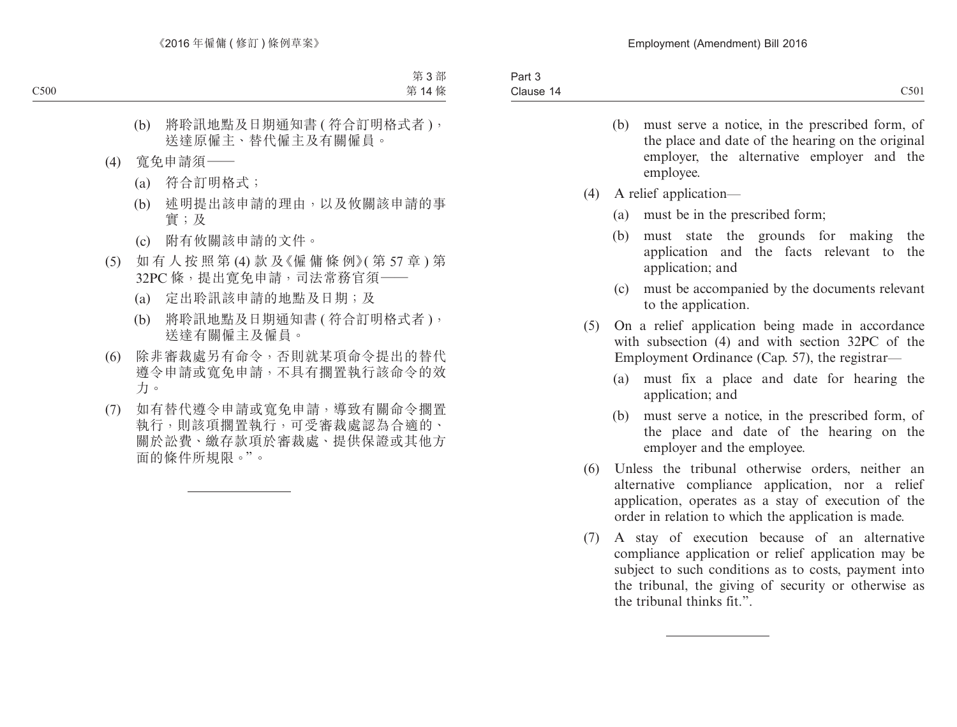- (b) must serve a notice, in the prescribed form, of the place and date of the hearing on the original employer, the alternative employer and the employee.
- (4) A relief application—
	- (a) must be in the prescribed form;
	- (b) must state the grounds for making the application and the facts relevant to the application; and
	- (c) must be accompanied by the documents relevant to the application.
- (5) On a relief application being made in accordance with subsection (4) and with section 32PC of the Employment Ordinance (Cap. 57), the registrar—
	- (a) must fix a place and date for hearing the application; and
	- (b) must serve a notice, in the prescribed form, of the place and date of the hearing on the employer and the employee.
- (6) Unless the tribunal otherwise orders, neither an alternative compliance application, nor a relief application, operates as a stay of execution of the order in relation to which the application is made.
- (7) A stay of execution because of an alternative compliance application or relief application may be subject to such conditions as to costs, payment into the tribunal, the giving of security or otherwise as the tribunal thinks fit.".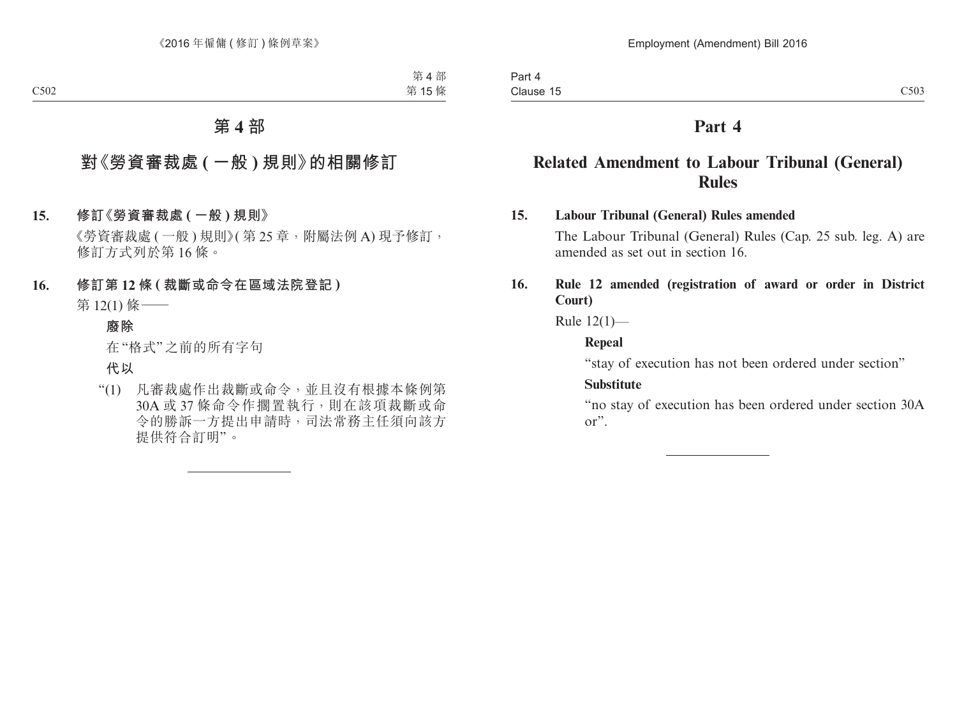# **Related Amendment to Labour Tribunal (General) Rules**

# **15. Labour Tribunal (General) Rules amended**

The Labour Tribunal (General) Rules (Cap. 25 sub. leg. A) are amended as set out in section 16.

# **16. Rule 12 amended (registration of award or order in District Court)**

Rule 12(1)—

#### **Repeal**

"stay of execution has not been ordered under section"

## **Substitute**

"no stay of execution has been ordered under section 30A or".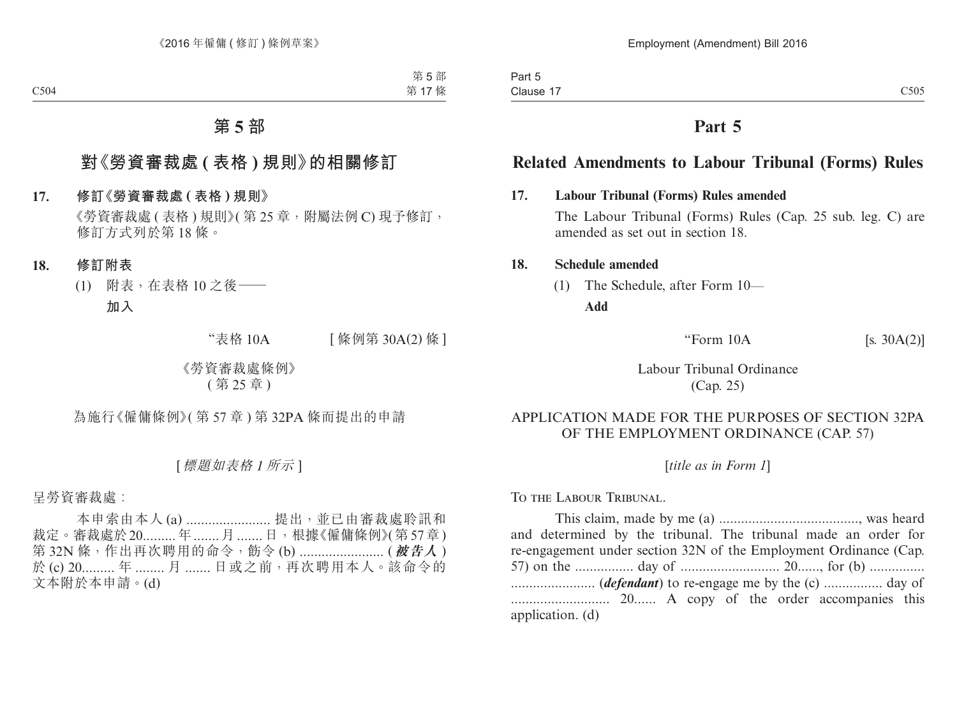# **Related Amendments to Labour Tribunal (Forms) Rules**

# **17. Labour Tribunal (Forms) Rules amended**

The Labour Tribunal (Forms) Rules (Cap. 25 sub. leg. C) are amended as set out in section 18.

#### **18. Schedule amended**

(1) The Schedule, after Form 10—

**Add**

"Form  $10A$  [s.  $30A(2)$ ]

Labour Tribunal Ordinance (Cap. 25)

# APPLICATION MADE FOR THE PURPOSES OF SECTION 32PA OF THE EMPLOYMENT ORDINANCE (CAP. 57)

[*title as in Form 1*]

To the Labour Tribunal.

This claim, made by me (a) ......................................, was heard and determined by the tribunal. The tribunal made an order for re-engagement under section 32N of the Employment Ordinance (Cap. 57) on the ................ day of ........................... 20......, for (b) ............... ....................... (*defendant*) to re-engage me by the (c) ................ day of ........................... 20...... A copy of the order accompanies this application. (d)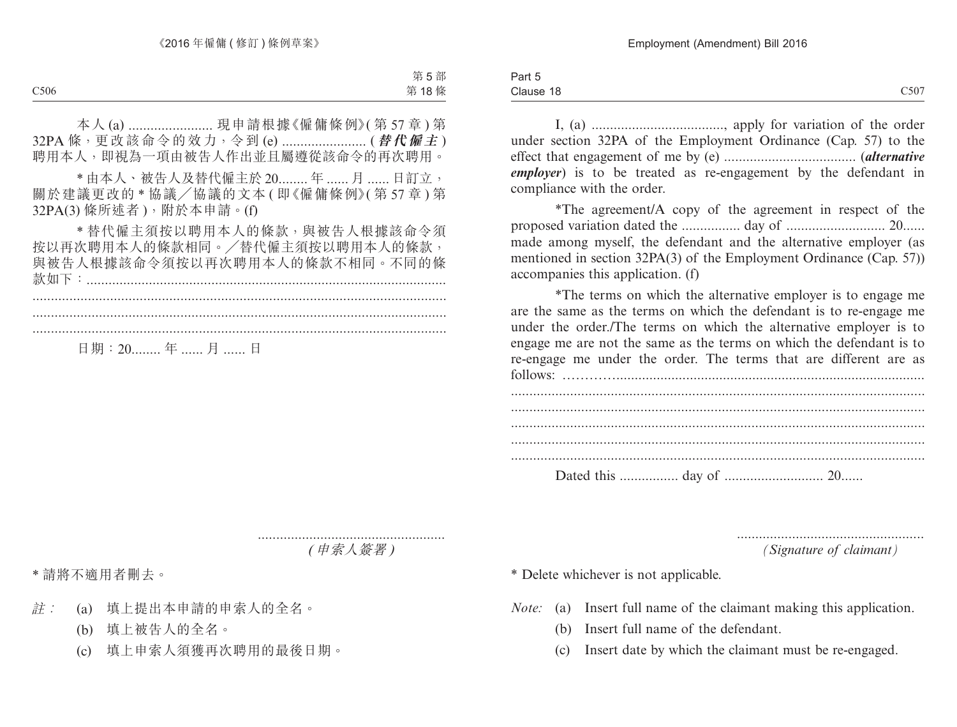Part 5 Clause 18  $C1$ ause 18  $C507$ 

> I, (a) ...................................., apply for variation of the order under section 32PA of the Employment Ordinance (Cap. 57) to the effect that engagement of me by (e) .................................... (*alternative employer*) is to be treated as re-engagement by the defendant in compliance with the order.

> \*The agreement/A copy of the agreement in respect of the proposed variation dated the ................ day of ........................... 20...... made among myself, the defendant and the alternative employer (as mentioned in section 32PA(3) of the Employment Ordinance (Cap. 57)) accompanies this application. (f)

> \*The terms on which the alternative employer is to engage me are the same as the terms on which the defendant is to re-engage me under the order./The terms on which the alternative employer is to engage me are not the same as the terms on which the defendant is to re-engage me under the order. The terms that are different are as follows: …………....................................................................................

................................................... *(Signature of claimant)*

\* Delete whichever is not applicable.

- *Note:* (a) Insert full name of the claimant making this application.
	- (b) Insert full name of the defendant.
	- (c) Insert date by which the claimant must be re-engaged.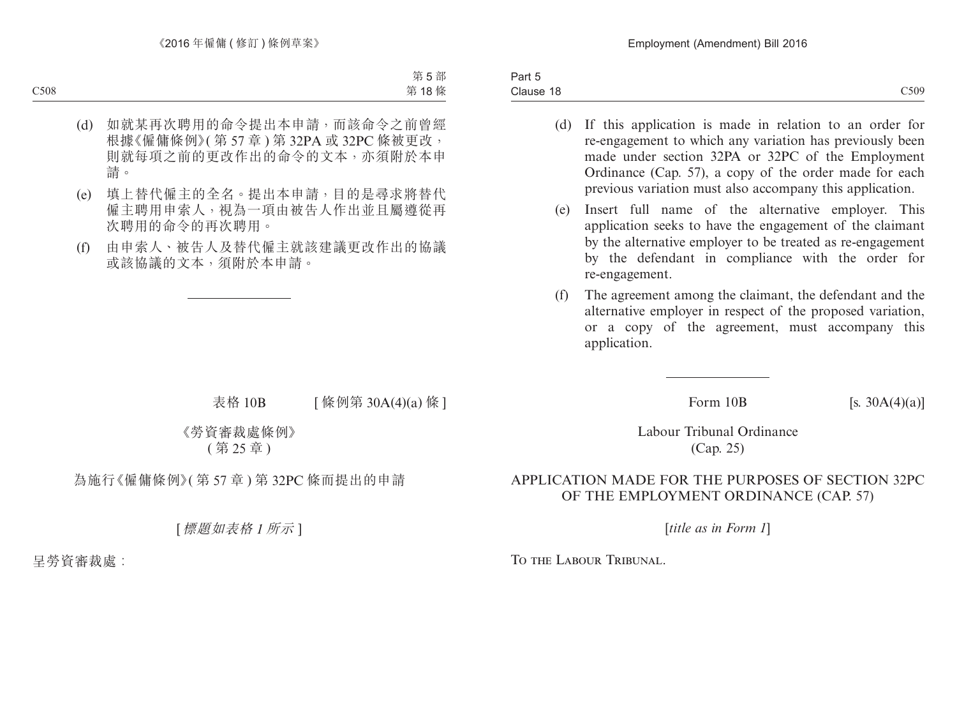Part 5 Clause 18  $\text{Clause } 18$  Clause  $\text{C509}$ 

- (d) If this application is made in relation to an order for re-engagement to which any variation has previously been made under section 32PA or 32PC of the Employment Ordinance (Cap. 57), a copy of the order made for each previous variation must also accompany this application.
- (e) Insert full name of the alternative employer. This application seeks to have the engagement of the claimant by the alternative employer to be treated as re-engagement by the defendant in compliance with the order for re-engagement.
- (f) The agreement among the claimant, the defendant and the alternative employer in respect of the proposed variation, or a copy of the agreement, must accompany this application.

Form  $10B$  [s.  $30A(4)(a)$ ]

Labour Tribunal Ordinance (Cap. 25)

# APPLICATION MADE FOR THE PURPOSES OF SECTION 32PC OF THE EMPLOYMENT ORDINANCE (CAP. 57)

[*title as in Form 1*]

To the Labour Tribunal.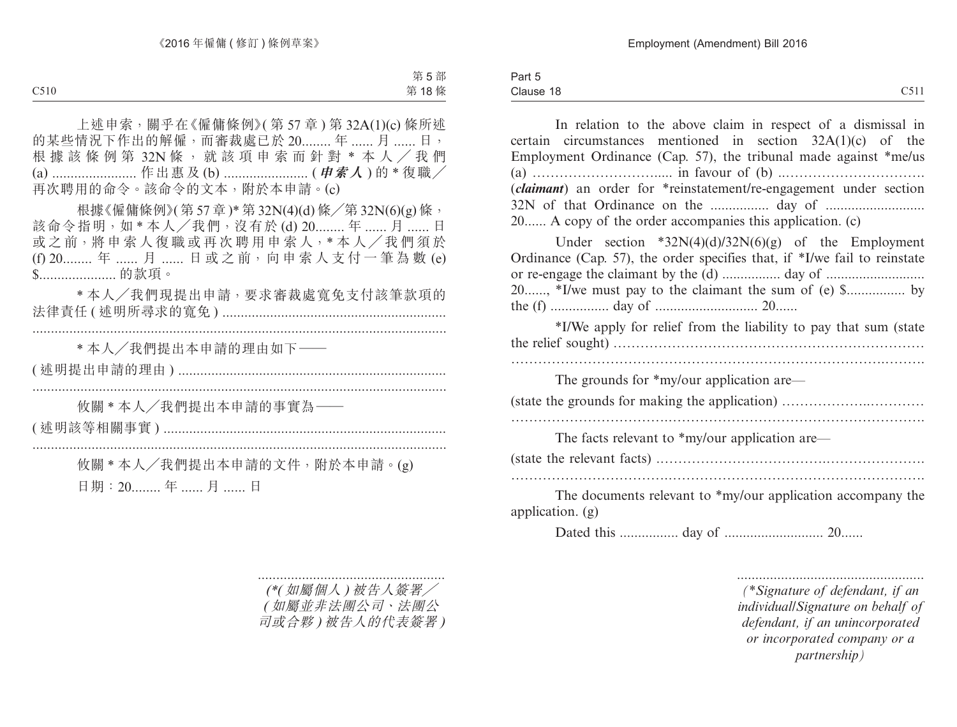| $\overline{\phantom{a}}$<br>Part 5 |              |
|------------------------------------|--------------|
| Clause 18                          | C511<br>◡◡ェェ |

In relation to the above claim in respect of a dismissal in certain circumstances mentioned in section 32A(1)(c) of the Employment Ordinance (Cap. 57), the tribunal made against \*me/us (a) ………………………..... in favour of (b) ..…………………………. (*claimant*) an order for \*reinstatement/re-engagement under section 32N of that Ordinance on the ................ day of ........................... 20...... A copy of the order accompanies this application. (c) Under section  $*32N(4)(d)/32N(6)(g)$  of the Employment Ordinance (Cap. 57), the order specifies that, if \*I/we fail to reinstate or re-engage the claimant by the (d) ................ day of ........................... 20......, \*I/we must pay to the claimant the sum of (e) \$................ by the (f) ................ day of ............................ 20...... \*I/We apply for relief from the liability to pay that sum (state the relief sought) …………………………………………………………… ………………………………………………………………………...…….. The grounds for \*my/our application are— (state the grounds for making the application) ………………..………… ……………………………...……………………………………………….. The facts relevant to \*my/our application are— (state the relevant facts) .……………………………….…………………. ……………………………...……………………………………………….. The documents relevant to \*my/our application accompany the

application. (g)

Dated this ................ day of ........................... 20......

................................................... *(\*Signature of defendant, if an individual/Signature on behalf of defendant, if an unincorporated or incorporated company or a partnership)*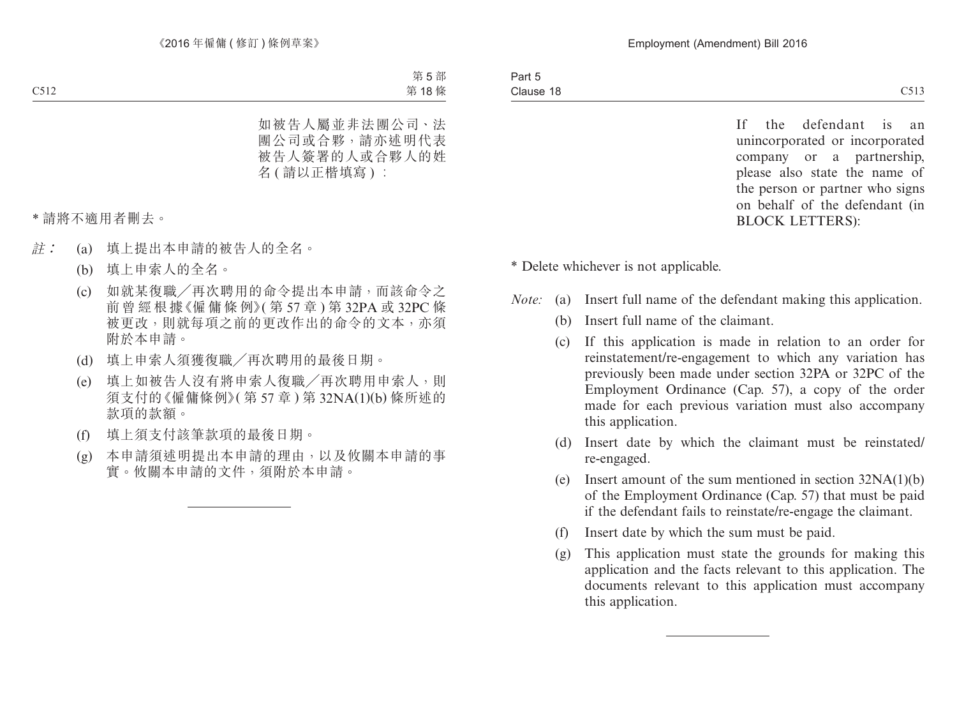If the defendant is an unincorporated or incorporated company or a partnership, please also state the name of the person or partner who signs on behalf of the defendant (in BLOCK LETTERS):

\* Delete whichever is not applicable.

- *Note:* (a) Insert full name of the defendant making this application.
	- (b) Insert full name of the claimant.
	- (c) If this application is made in relation to an order for reinstatement/re-engagement to which any variation has previously been made under section 32PA or 32PC of the Employment Ordinance (Cap. 57), a copy of the order made for each previous variation must also accompany this application.
	- (d) Insert date by which the claimant must be reinstated/ re-engaged.
	- (e) Insert amount of the sum mentioned in section 32NA(1)(b) of the Employment Ordinance (Cap. 57) that must be paid if the defendant fails to reinstate/re-engage the claimant.
	- (f) Insert date by which the sum must be paid.
	- (g) This application must state the grounds for making this application and the facts relevant to this application. The documents relevant to this application must accompany this application.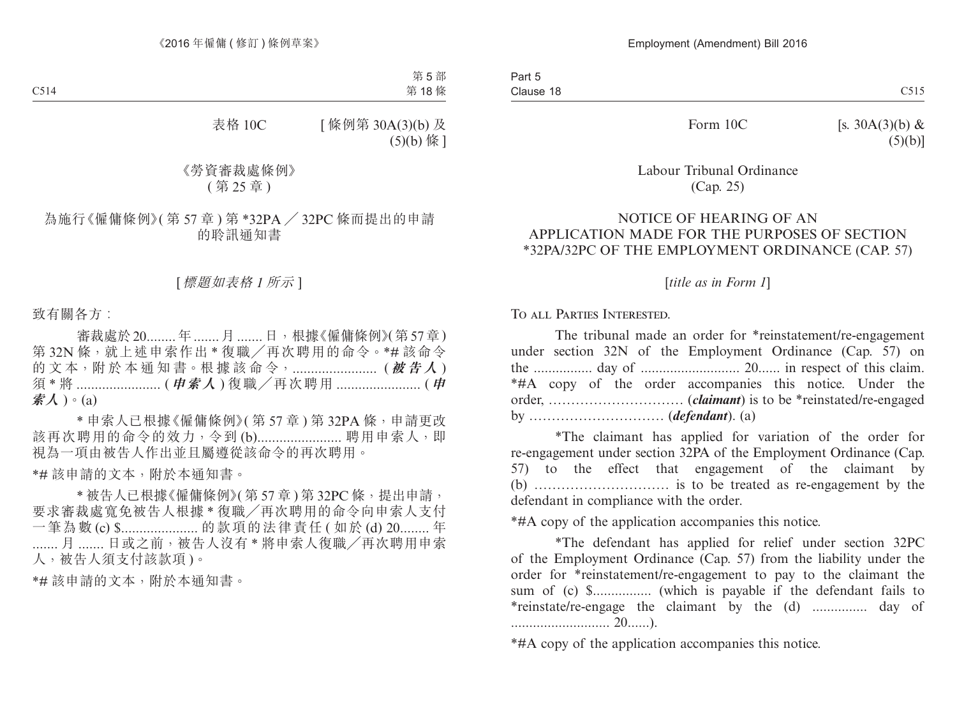Form  $10C$  [s. 30A(3)(b) &  $(5)(b)$ ]

# Labour Tribunal Ordinance (Cap. 25)

#### NOTICE OF HEARING OF AN APPLICATION MADE FOR THE PURPOSES OF SECTION \*32PA/32PC OF THE EMPLOYMENT ORDINANCE (CAP. 57)

[*title as in Form 1*]

To all Parties Interested.

The tribunal made an order for \*reinstatement/re-engagement under section 32N of the Employment Ordinance (Cap. 57) on the ................ day of ........................... 20...... in respect of this claim. \*#A copy of the order accompanies this notice. Under the order, ………………………… (*claimant*) is to be \*reinstated/re-engaged by ………………………… (*defendant*). (a)

\*The claimant has applied for variation of the order for re-engagement under section 32PA of the Employment Ordinance (Cap. 57) to the effect that engagement of the claimant by (b) ………………………… is to be treated as re-engagement by the defendant in compliance with the order.

\*#A copy of the application accompanies this notice.

\*The defendant has applied for relief under section 32PC of the Employment Ordinance (Cap. 57) from the liability under the order for \*reinstatement/re-engagement to pay to the claimant the sum of (c) \$................ (which is payable if the defendant fails to \*reinstate/re-engage the claimant by the (d) ............... day of ........................... 20......).

\*#A copy of the application accompanies this notice.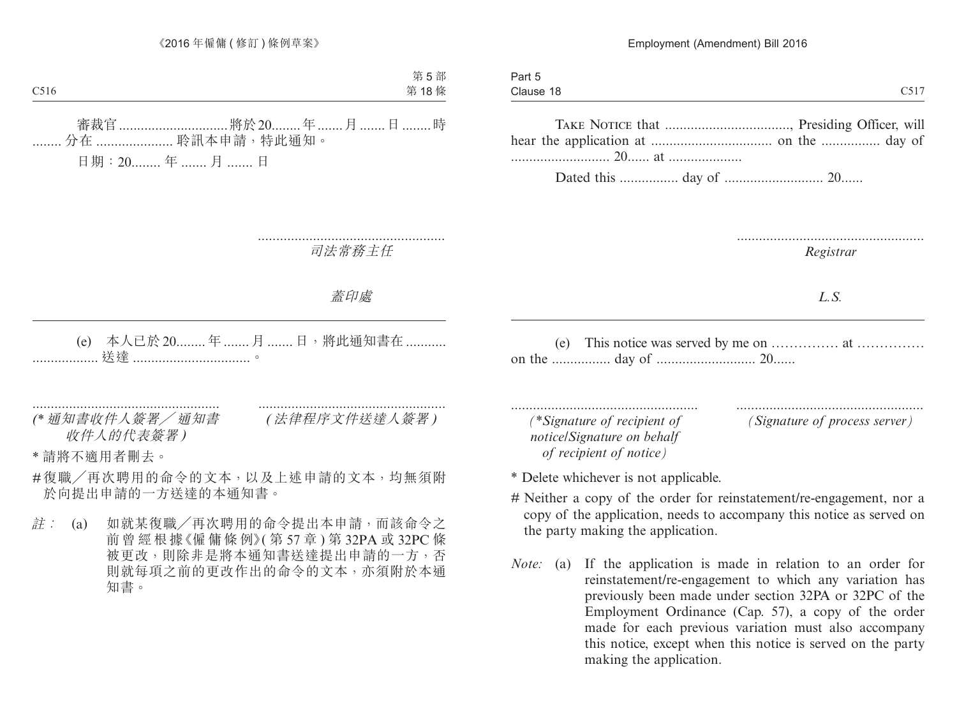|              | Part 5                                                                                                                                                                                                                                                                                           |
|--------------|--------------------------------------------------------------------------------------------------------------------------------------------------------------------------------------------------------------------------------------------------------------------------------------------------|
| $^\sim$ 517  | Clause 18                                                                                                                                                                                                                                                                                        |
|              |                                                                                                                                                                                                                                                                                                  |
|              |                                                                                                                                                                                                                                                                                                  |
|              |                                                                                                                                                                                                                                                                                                  |
| $\mathbf{A}$ | $\mathbf{D}$ and $\mathbf{D}$ and $\mathbf{D}$ and $\mathbf{D}$ and $\mathbf{D}$ and $\mathbf{D}$ and $\mathbf{D}$ and $\mathbf{D}$ and $\mathbf{D}$ and $\mathbf{D}$ and $\mathbf{D}$ and $\mathbf{D}$ and $\mathbf{D}$ and $\mathbf{D}$ and $\mathbf{D}$ and $\mathbf{D}$ and $\mathbf{D}$ and |

Dated this ................ day of ........................... 20......

...................................................

*Registrar*

*L.S.*

(e) This notice was served by me on …………… at …………… on the ................ day of ........................... 20......

................................................... *(\*Signature of recipient of notice/Signature on behalf of recipient of notice)*

Part 5

................................................... *(Signature of process server)*

\* Delete whichever is not applicable.

- # Neither a copy of the order for reinstatement/re-engagement, nor a copy of the application, needs to accompany this notice as served on the party making the application.
- *Note:* (a) If the application is made in relation to an order for reinstatement/re-engagement to which any variation has previously been made under section 32PA or 32PC of the Employment Ordinance (Cap. 57), a copy of the order made for each previous variation must also accompany this notice, except when this notice is served on the party making the application.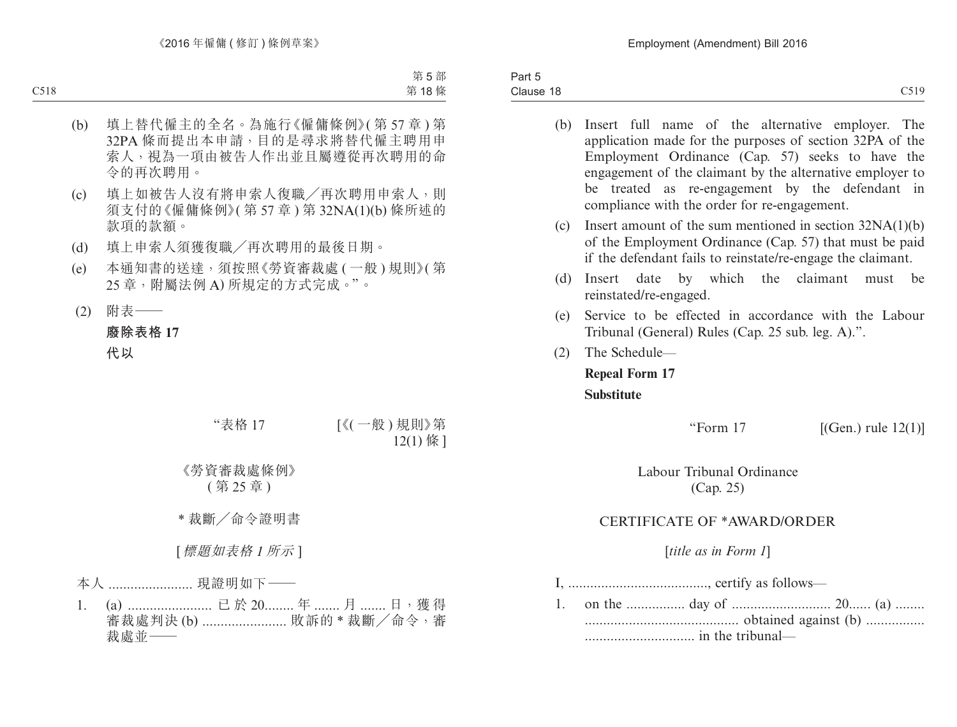| $\sim$<br>$\overline{\phantom{a}}$<br>Part 5 |      |
|----------------------------------------------|------|
| Clause 18                                    | C519 |

- (b) Insert full name of the alternative employer. The application made for the purposes of section 32PA of the Employment Ordinance (Cap. 57) seeks to have the engagement of the claimant by the alternative employer to be treated as re-engagement by the defendant in compliance with the order for re-engagement.
- (c) Insert amount of the sum mentioned in section 32NA(1)(b) of the Employment Ordinance (Cap. 57) that must be paid if the defendant fails to reinstate/re-engage the claimant.
- (d) Insert date by which the claimant must be reinstated/re-engaged.
- (e) Service to be effected in accordance with the Labour Tribunal (General) Rules (Cap. 25 sub. leg. A).".
- (2) The Schedule—

**Repeal Form 17 Substitute**

"Form  $17$  [(Gen.) rule  $12(1)$ ]

Labour Tribunal Ordinance (Cap. 25)

# CERTIFICATE OF \*AWARD/ORDER

[*title as in Form 1*]

I, ......................................, certify as follows—

1. on the ................ day of ........................... 20...... (a) ........ .......................................... obtained against (b) ................ .............................. in the tribunal—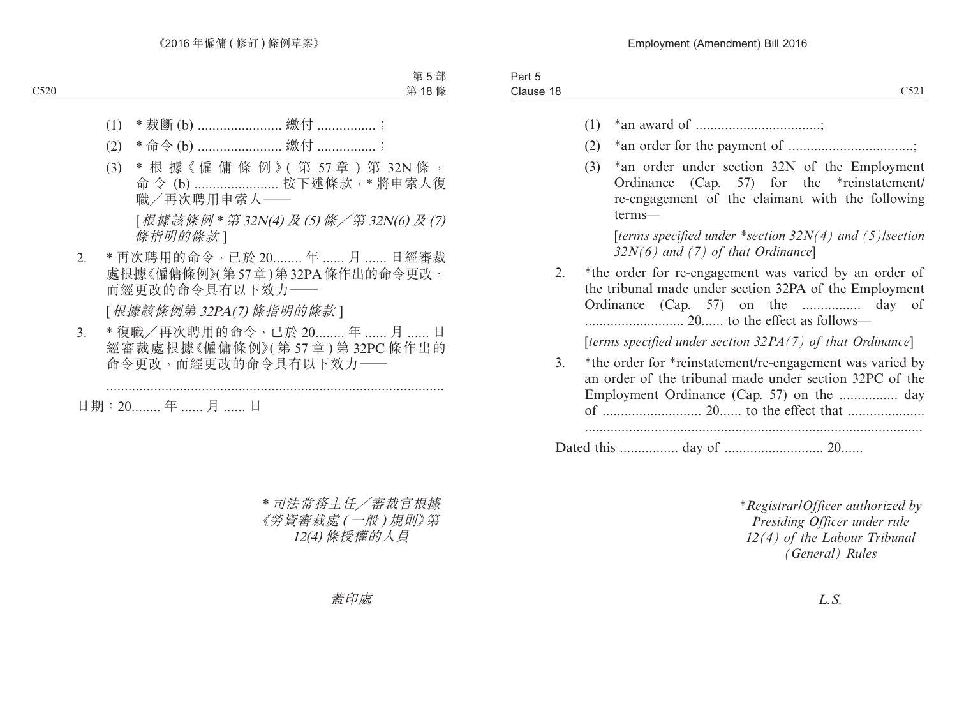| (1)                                                                                                                                                                      |
|--------------------------------------------------------------------------------------------------------------------------------------------------------------------------|
| (2)                                                                                                                                                                      |
| (3)                                                                                                                                                                      |
|                                                                                                                                                                          |
| *the order for re-engagement was varied by an order of<br>the tribunal made under section 32PA of the Employment<br>Ordinance (Cap. 57) on the  day of                   |
| [terms specified under section $32PA(7)$ of that Ordinance]                                                                                                              |
| *the order for *reinstatement/re-engagement was varied by<br>3.<br>an order of the tribunal made under section 32PC of the<br>Employment Ordinance (Cap. 57) on the  day |
|                                                                                                                                                                          |

*\*Registrar/Officer authorized by Presiding Officer under rule 12(4) of the Labour Tribunal (General) Rules*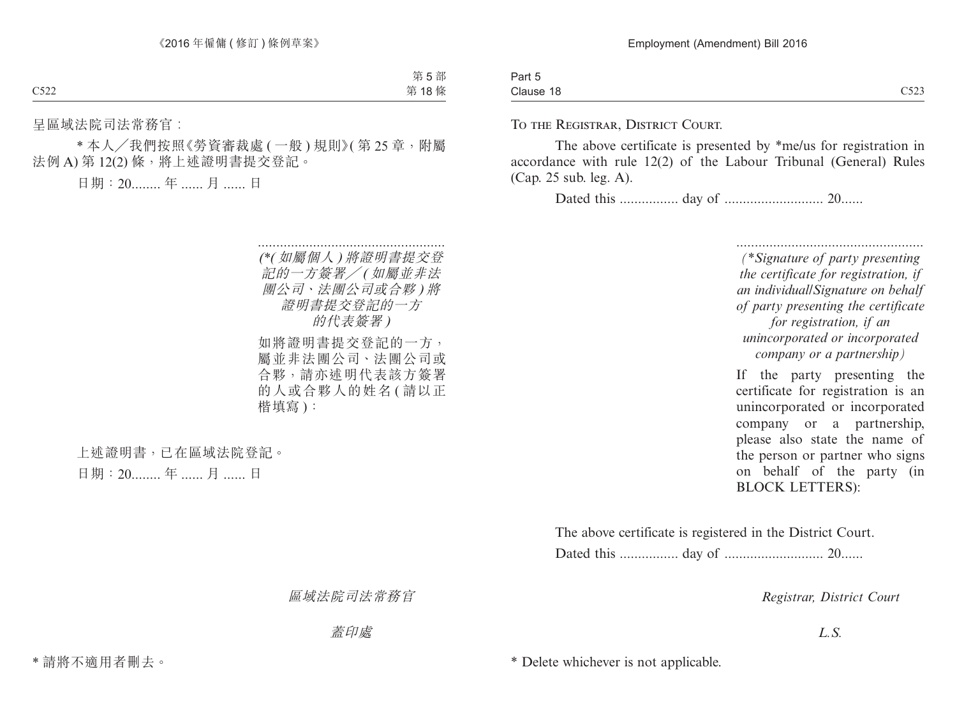| Part 5                  |                                            |
|-------------------------|--------------------------------------------|
| . .<br>- -<br>Clause 18 | $\sim$ = $\sim$ $\sim$<br>$\sim$<br>ر 22 ب |

To the Registrar, District Court.

The above certificate is presented by \*me/us for registration in accordance with rule 12(2) of the Labour Tribunal (General) Rules (Cap. 25 sub. leg. A).

Dated this ................ day of ........................... 20......

................................................... *(\*Signature of party presenting the certificate for registration, if an individual/Signature on behalf of party presenting the certificate for registration, if an unincorporated or incorporated company or a partnership)*

If the party presenting the certificate for registration is an unincorporated or incorporated company or a partnership, please also state the name of the person or partner who signs on behalf of the party (in BLOCK LETTERS):

The above certificate is registered in the District Court. Dated this ................ day of ........................... 20......

*Registrar, District Court*

*L.S.*

\* Delete whichever is not applicable.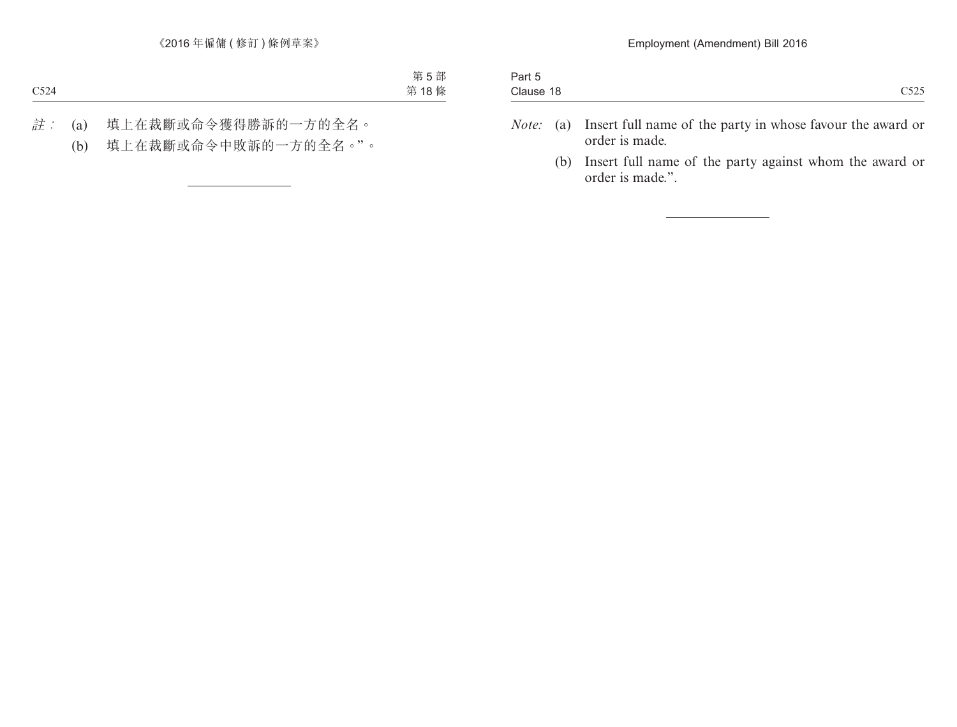| ∴ar                 |              |
|---------------------|--------------|
| $\sim$<br>Clause 18 | 7525<br>◡◡▃◡ |
|                     |              |

- *Note:* (a) Insert full name of the party in whose favour the award or order is made.
	- (b) Insert full name of the party against whom the award or order is made.".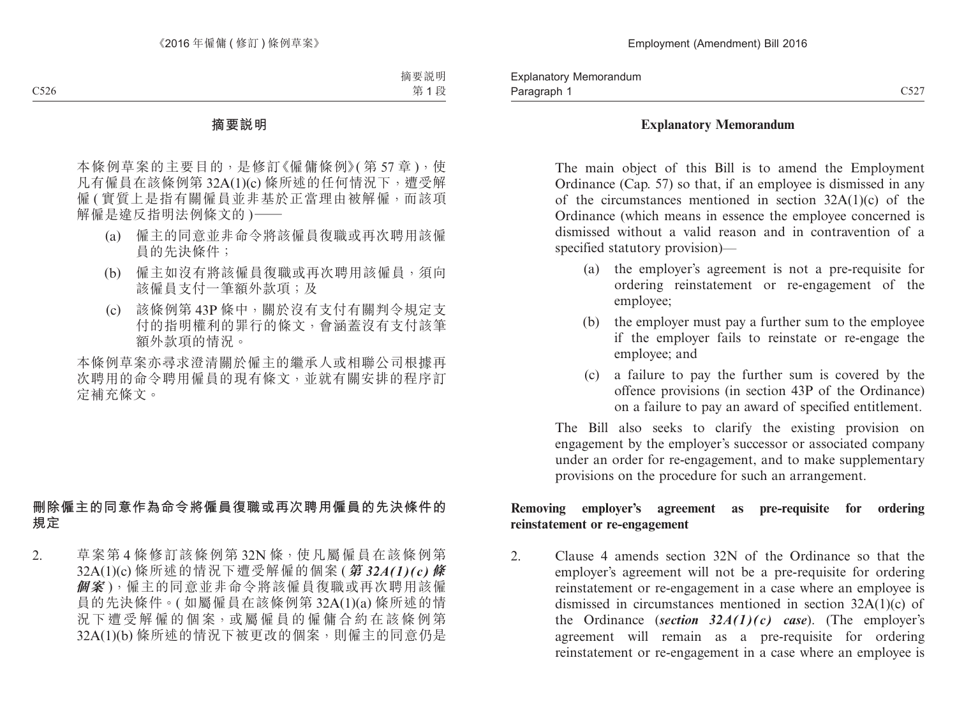## **Explanatory Memorandum**

The main object of this Bill is to amend the Employment Ordinance (Cap. 57) so that, if an employee is dismissed in any of the circumstances mentioned in section 32A(1)(c) of the Ordinance (which means in essence the employee concerned is dismissed without a valid reason and in contravention of a specified statutory provision)—

- (a) the employer's agreement is not a pre-requisite for ordering reinstatement or re-engagement of the employee;
- (b) the employer must pay a further sum to the employee if the employer fails to reinstate or re-engage the employee; and
- (c) a failure to pay the further sum is covered by the offence provisions (in section 43P of the Ordinance) on a failure to pay an award of specified entitlement.

The Bill also seeks to clarify the existing provision on engagement by the employer's successor or associated company under an order for re-engagement, and to make supplementary provisions on the procedure for such an arrangement.

## **Removing employer's agreement as pre-requisite for ordering reinstatement or re-engagement**

2. Clause 4 amends section 32N of the Ordinance so that the employer's agreement will not be a pre-requisite for ordering reinstatement or re-engagement in a case where an employee is dismissed in circumstances mentioned in section 32A(1)(c) of the Ordinance (*section 32A(1)(c) case*). (The employer's agreement will remain as a pre-requisite for ordering reinstatement or re-engagement in a case where an employee is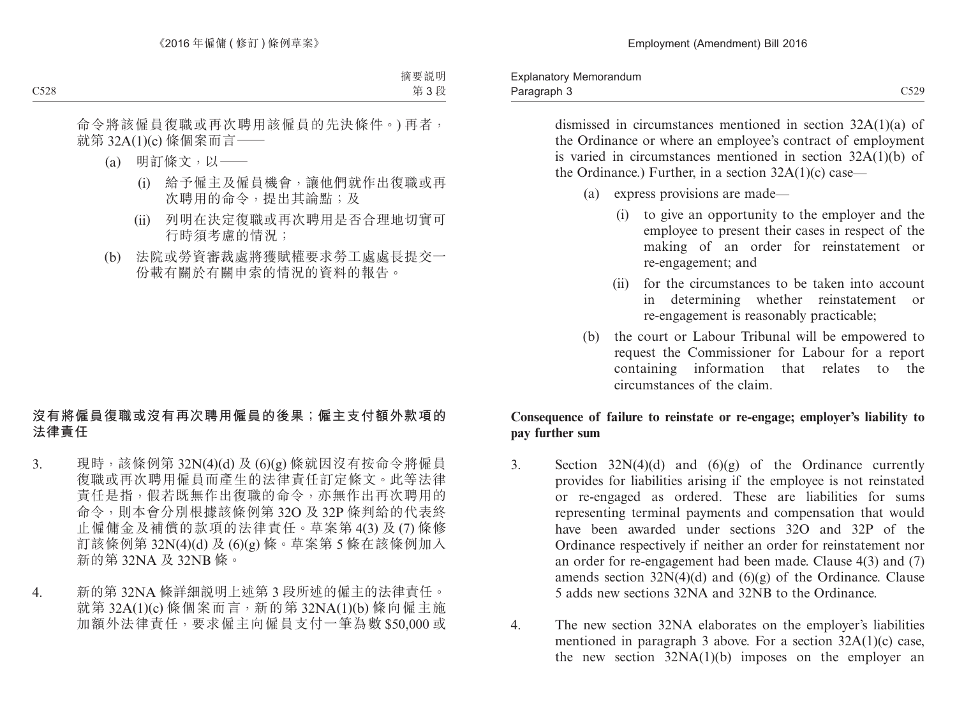dismissed in circumstances mentioned in section 32A(1)(a) of the Ordinance or where an employee's contract of employment is varied in circumstances mentioned in section 32A(1)(b) of the Ordinance.) Further, in a section  $32A(1)(c)$  case—

- (a) express provisions are made—
	- (i) to give an opportunity to the employer and the employee to present their cases in respect of the making of an order for reinstatement or re-engagement; and
	- (ii) for the circumstances to be taken into account in determining whether reinstatement or re-engagement is reasonably practicable;
- (b) the court or Labour Tribunal will be empowered to request the Commissioner for Labour for a report containing information that relates to the circumstances of the claim.

# **Consequence of failure to reinstate or re-engage; employer's liability to pay further sum**

- 3. Section  $32N(4)(d)$  and  $(6)(g)$  of the Ordinance currently provides for liabilities arising if the employee is not reinstated or re-engaged as ordered. These are liabilities for sums representing terminal payments and compensation that would have been awarded under sections 32O and 32P of the Ordinance respectively if neither an order for reinstatement nor an order for re-engagement had been made. Clause 4(3) and (7) amends section  $32N(4)(d)$  and  $(6)(g)$  of the Ordinance. Clause 5 adds new sections 32NA and 32NB to the Ordinance.
- 4. The new section 32NA elaborates on the employer's liabilities mentioned in paragraph 3 above. For a section 32A(1)(c) case, the new section  $32NA(1)(b)$  imposes on the employer an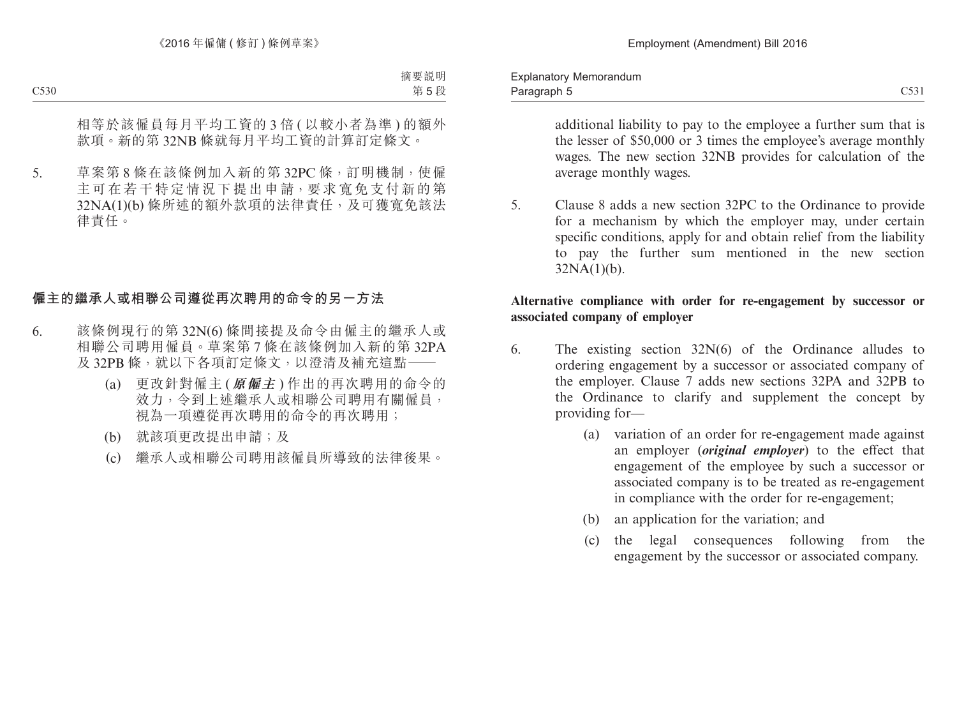additional liability to pay to the employee a further sum that is the lesser of \$50,000 or 3 times the employee's average monthly wages. The new section 32NB provides for calculation of the average monthly wages.

5. Clause 8 adds a new section 32PC to the Ordinance to provide for a mechanism by which the employer may, under certain specific conditions, apply for and obtain relief from the liability to pay the further sum mentioned in the new section  $32NA(1)(b)$ .

## **Alternative compliance with order for re-engagement by successor or associated company of employer**

- 6. The existing section 32N(6) of the Ordinance alludes to ordering engagement by a successor or associated company of the employer. Clause 7 adds new sections 32PA and 32PB to the Ordinance to clarify and supplement the concept by providing for—
	- (a) variation of an order for re-engagement made against an employer (*original employer*) to the effect that engagement of the employee by such a successor or associated company is to be treated as re-engagement in compliance with the order for re-engagement;
	- (b) an application for the variation; and
	- (c) the legal consequences following from the engagement by the successor or associated company.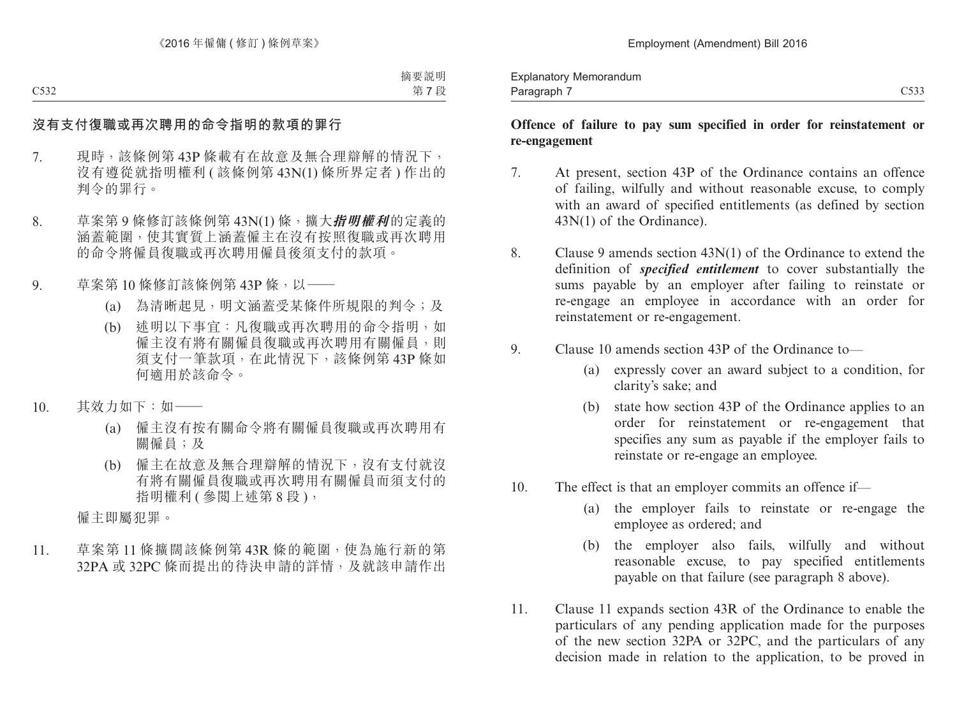#### **Offence of failure to pay sum specified in order for reinstatement or re-engagement**

- 7. At present, section 43P of the Ordinance contains an offence of failing, wilfully and without reasonable excuse, to comply with an award of specified entitlements (as defined by section 43N(1) of the Ordinance).
- 8. Clause 9 amends section 43N(1) of the Ordinance to extend the definition of *specified entitlement* to cover substantially the sums payable by an employer after failing to reinstate or re-engage an employee in accordance with an order for reinstatement or re-engagement.
- 9. Clause 10 amends section 43P of the Ordinance to—
	- (a) expressly cover an award subject to a condition, for clarity's sake; and
	- (b) state how section 43P of the Ordinance applies to an order for reinstatement or re-engagement that specifies any sum as payable if the employer fails to reinstate or re-engage an employee.
- 10. The effect is that an employer commits an offence if—
	- (a) the employer fails to reinstate or re-engage the employee as ordered; and
	- (b) the employer also fails, wilfully and without reasonable excuse, to pay specified entitlements payable on that failure (see paragraph 8 above).
- 11. Clause 11 expands section 43R of the Ordinance to enable the particulars of any pending application made for the purposes of the new section 32PA or 32PC, and the particulars of any decision made in relation to the application, to be proved in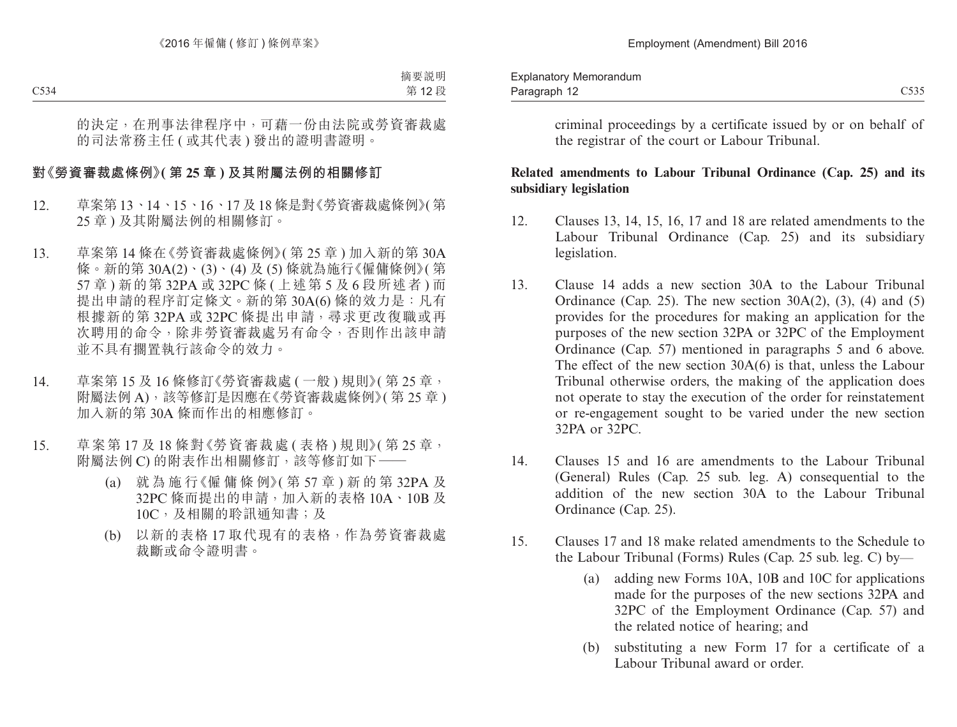criminal proceedings by a certificate issued by or on behalf of the registrar of the court or Labour Tribunal.

## **Related amendments to Labour Tribunal Ordinance (Cap. 25) and its subsidiary legislation**

- 12. Clauses 13, 14, 15, 16, 17 and 18 are related amendments to the Labour Tribunal Ordinance (Cap. 25) and its subsidiary legislation.
- 13. Clause 14 adds a new section 30A to the Labour Tribunal Ordinance (Cap. 25). The new section  $30A(2)$ , (3), (4) and (5) provides for the procedures for making an application for the purposes of the new section 32PA or 32PC of the Employment Ordinance (Cap. 57) mentioned in paragraphs 5 and 6 above. The effect of the new section 30A(6) is that, unless the Labour Tribunal otherwise orders, the making of the application does not operate to stay the execution of the order for reinstatement or re-engagement sought to be varied under the new section 32PA or 32PC.
- 14. Clauses 15 and 16 are amendments to the Labour Tribunal (General) Rules (Cap. 25 sub. leg. A) consequential to the addition of the new section 30A to the Labour Tribunal Ordinance (Cap. 25).
- 15. Clauses 17 and 18 make related amendments to the Schedule to the Labour Tribunal (Forms) Rules (Cap. 25 sub. leg. C) by—
	- (a) adding new Forms 10A, 10B and 10C for applications made for the purposes of the new sections 32PA and 32PC of the Employment Ordinance (Cap. 57) and the related notice of hearing; and
	- (b) substituting a new Form 17 for a certificate of a Labour Tribunal award or order.